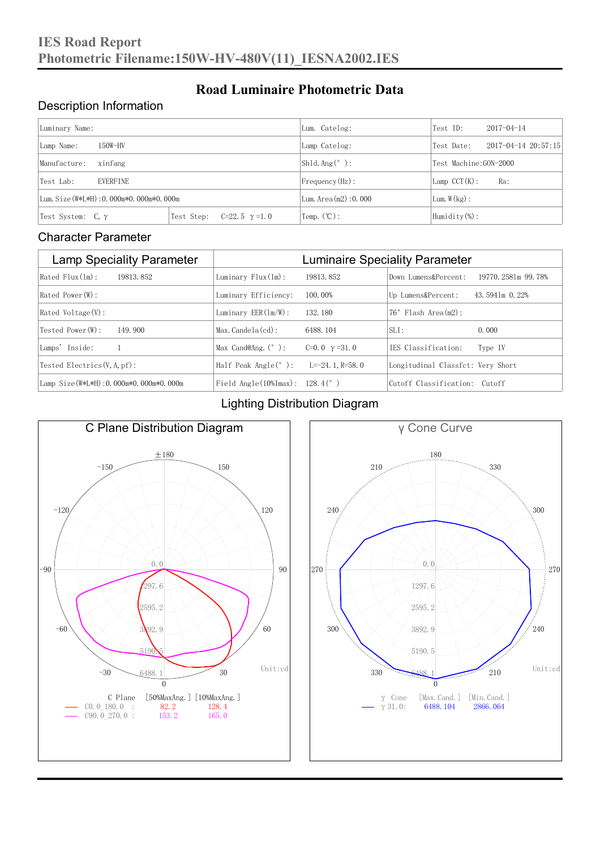#### Description Information

| Luminary Name:                          |                                     | Lum. Catelog:                   | Test ID:                    | $2017 - 04 - 14$ |  |
|-----------------------------------------|-------------------------------------|---------------------------------|-----------------------------|------------------|--|
| $150W-HV$<br>Lamp Name:                 | Lamp Catelog:                       | Test Date:                      | $2017 - 04 - 14$ $20:57:15$ |                  |  |
| Manufacture:<br>xinfang                 |                                     | $\vert$ Sh1d. Ang $(^\circ$ ) : | Test Machine: GON-2000      |                  |  |
| <b>EVERFINE</b><br>Test Lab:            |                                     | $Frequency(Hz)$ :               | $Lamp$ CCT(K):              | Ra:              |  |
| Lum. Size (W*L*H): 0.000m*0.000m*0.000m |                                     | Lum. Area $(m2)$ : 0.000        | Lum. $W(kg)$ :              |                  |  |
| Test System: $C, \gamma$                | Test Step:<br>$C=22.5$ $\gamma=1.0$ | $\text{Temp.} (\text{°C})$ :    | Humidity $(\%)$ :           |                  |  |

**Road Luminaire Photometric Data**

#### Character Parameter

| <b>Lamp Speciality Parameter</b>       | <b>Luminaire Speciality Parameter</b>                               |                      |                                   |                    |
|----------------------------------------|---------------------------------------------------------------------|----------------------|-----------------------------------|--------------------|
| Rated Flux(1m):<br>19813, 852          | Luminary $Flux(lm)$ :                                               | 19813, 852           | Down Lumens&Percent:              | 19770.2581m 99.78% |
| Rated Power (W):                       | Luminary Efficiency:                                                | 100.00%              | Up Lumens&Percent:                | 43.5941m 0.22%     |
| Rated Voltage (V):                     | Luminary $EER(\ln/W)$ :                                             | 132.180              | $76°$ Flash Area $(m2)$ :         |                    |
| Tested Power(W):<br>149.900            | $Max. Candela(cd)$ :                                                | 6488, 104            | $SLI$ :                           | 0.000              |
| Lamps' Inside:                         | Max Cand@Ang. $(°)$ :                                               | C=0.0 $\gamma$ =31.0 | TES Classification:               | Type IV            |
| Tested Electrics $(V, A, pf)$ :        | Half Peak Angle $(°)$ :                                             | L= $-24.1$ , R=58.0  | Longitudinal Classfet: Very Short |                    |
| Lamp Size(W*L*H): 0.000m*0.000m*0.000m | Field Angle $(10\text{\%} \text{Im} \text{ax})$ : 128.4 $(^\circ$ ) |                      | Cutoff Classification: Cutoff     |                    |

#### Lighting Distribution Diagram



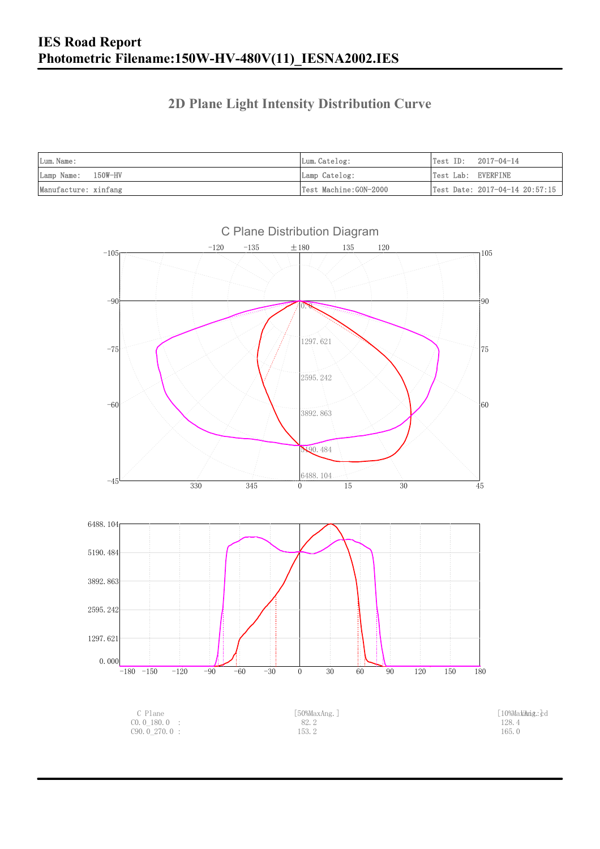### **2D Plane Light Intensity Distribution Curve**

| Lum. Name:           | Lum.Catelog:          | Test ID:<br>2017-04-14                         |
|----------------------|-----------------------|------------------------------------------------|
| Lamp Name: 150W-HV   | Lamp Catelog:         | Test Lab: EVERFINE                             |
| Manufacture: xinfang | Test Machine:GON-2000 | $\vert$ Test Date: 2017-04-14 20:57:15 $\vert$ |

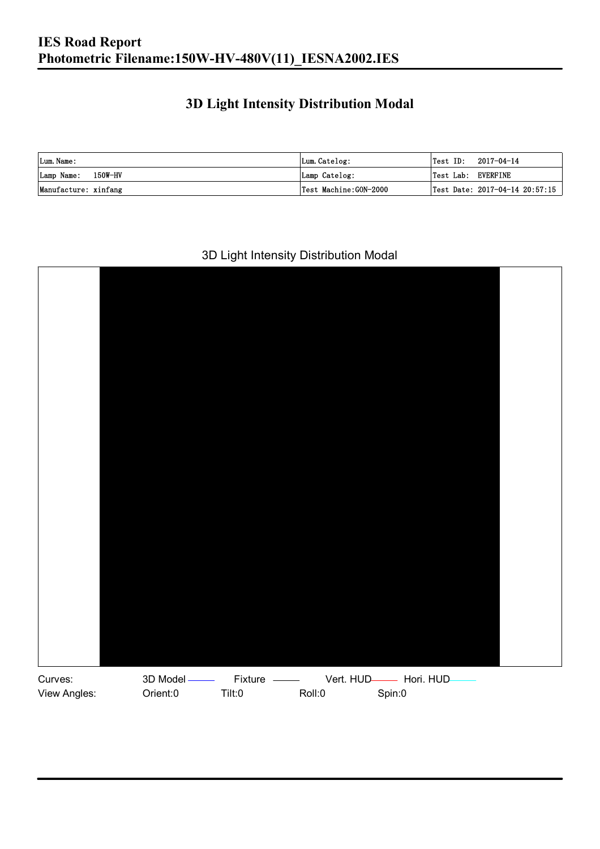### **3D Light Intensity Distribution Modal**

| Lum. Name:           | Lum. Catelog:         |                    | $\textsf{Test ID:} \quad 2017-04-14$ |
|----------------------|-----------------------|--------------------|--------------------------------------|
| Lamp Name: 150W-HV   | Lamp Catelog:         | Test Lab: EVERFINE |                                      |
| Manufacture: xinfang | Test Machine:GON-2000 |                    | Test Date: 2017-04-14 20:57:15       |

#### 3D Light Intensity Distribution Modal

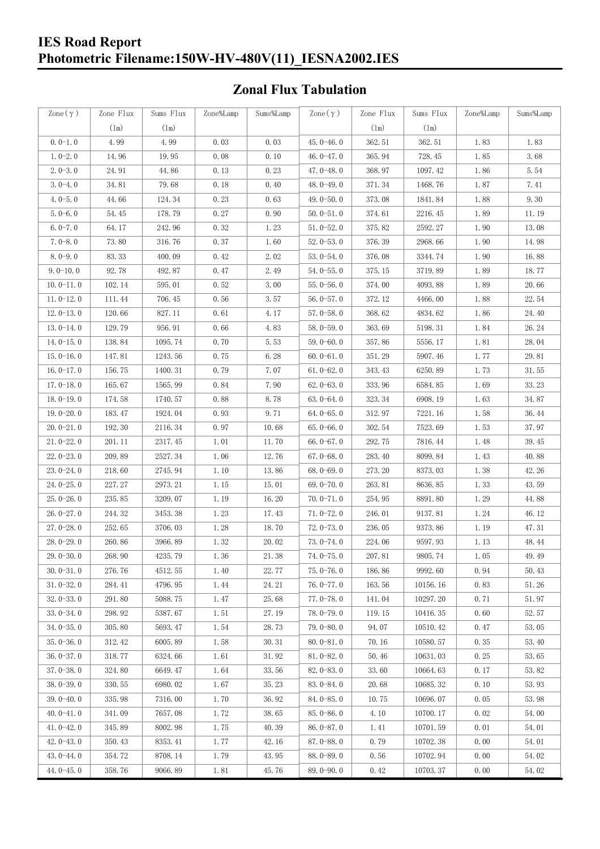### **IES Road Report Photometric Filename:150W-HV-480V(11)\_IESNA2002.IES**

### **Zonal Flux Tabulation**

| Zone $(\gamma)$ | Zone Flux     | Sums Flux | Zone%Lamp | Sums%Lamp | $\text{Zone}(\gamma)$ | Zone Flux | Sums Flux | Zone%Lamp            | Sums%Lamp |
|-----------------|---------------|-----------|-----------|-----------|-----------------------|-----------|-----------|----------------------|-----------|
|                 | $(\text{lm})$ | (1m)      |           |           |                       | (1m)      | (1m)      |                      |           |
| $0.0-1.0$       | 4.99          | 4.99      | 0.03      | 0.03      | $45.0 - 46.0$         | 362.51    | 362.51    | 1.83                 | 1.83      |
| $1.0 - 2.0$     | 14.96         | 19.95     | 0.08      | 0.10      | 46.0 $-47.0$          | 365.94    | 728.45    | 1.85                 | 3.68      |
| $2.0 - 3.0$     | 24.91         | 44.86     | 0.13      | 0.23      | $47.0 - 48.0$         | 368.97    | 1097.42   | 1.86                 | 5.54      |
| $3.0 - 4.0$     | 34.81         | 79.68     | 0.18      | 0.40      | 48.0-49.0             | 371.34    | 1468.76   | 1.87                 | 7.41      |
| $4.0 - 5.0$     | 44.66         | 124.34    | 0.23      | 0.63      | 49.0-50.0             | 373.08    | 1841.84   | 1.88                 | 9.30      |
| $5.0 - 6.0$     | 54.45         | 178.79    | 0.27      | 0.90      | $50.0 - 51.0$         | 374.61    | 2216.45   | 1.89                 | 11.19     |
| $6.0 - 7.0$     | 64.17         | 242.96    | 0.32      | 1.23      | $51.0 - 52.0$         | 375.82    | 2592.27   | 1.90                 | 13.08     |
| $7.0 - 8.0$     | 73.80         | 316.76    | 0.37      | 1.60      | $52.0 - 53.0$         | 376.39    | 2968.66   | 1.90                 | 14.98     |
| $8.0 - 9.0$     | 83.33         | 400.09    | 0.42      | 2.02      | $53.0 - 54.0$         | 376.08    | 3344.74   | 1.90                 | 16.88     |
| $9.0 - 10.0$    | 92.78         | 492.87    | 0.47      | 2.49      | $54.0 - 55.0$         | 375.15    | 3719.89   | 1.89                 | 18.77     |
| $10.0 - 11.0$   | 102.14        | 595.01    | 0.52      | 3.00      | $55.0 - 56.0$         | 374.00    | 4093.88   | 1.89                 | 20.66     |
| $11.0 - 12.0$   | 111.44        | 706.45    | 0.56      | 3.57      | $56.0 - 57.0$         | 372.12    | 4466.00   | 1.88                 | 22.54     |
| $12.0 - 13.0$   | 120.66        | 827.11    | 0.61      | 4.17      | $57.0 - 58.0$         | 368.62    | 4834.62   | 1.86                 | 24.40     |
| $13.0 - 14.0$   | 129.79        | 956.91    | 0.66      | 4.83      | $58.0 - 59.0$         | 363.69    | 5198.31   | 1.84                 | 26.24     |
| $14.0 - 15.0$   | 138.84        | 1095.74   | 0.70      | 5.53      | $59.0 - 60.0$         | 357.86    | 5556.17   | 1.81                 | 28.04     |
| $15.0 - 16.0$   | 147.81        | 1243.56   | 0.75      | 6.28      | $60.0 - 61.0$         | 351.29    | 5907.46   | 1.77                 | 29.81     |
| $16.0 - 17.0$   | 156.75        | 1400.31   | 0.79      | 7.07      | $61.0 - 62.0$         | 343.43    | 6250.89   | 1.73                 | 31.55     |
| $17.0 - 18.0$   | 165.67        | 1565.99   | 0.84      | 7.90      | $62.0 - 63.0$         | 333.96    | 6584.85   | 1.69                 | 33.23     |
| $18.0 - 19.0$   | 174.58        | 1740.57   | 0.88      | 8.78      | $63.0 - 64.0$         | 323.34    | 6908.19   | 1.63                 | 34.87     |
| $19.0 - 20.0$   | 183.47        | 1924.04   | 0.93      | 9.71      | $64.0 - 65.0$         | 312.97    | 7221.16   | 1.58                 | 36.44     |
| $20.0 - 21.0$   | 192.30        | 2116.34   | 0.97      | 10.68     | $65.0 - 66.0$         | 302.54    | 7523.69   | 1.53                 | 37.97     |
| $21.0 - 22.0$   | 201.11        | 2317.45   | 1.01      | 11.70     | $66.0 - 67.0$         | 292.75    | 7816.44   | 1.48                 | 39.45     |
| $22.0 - 23.0$   | 209.89        | 2527.34   | 1.06      | 12.76     | $67.0 - 68.0$         | 283.40    | 8099.84   | 1.43                 | 40.88     |
| $23.0 - 24.0$   | 218.60        | 2745.94   | 1.10      | 13.86     | $68.0 - 69.0$         | 273.20    | 8373.03   | 1.38                 | 42.26     |
| $24.0 - 25.0$   | 227.27        | 2973.21   | 1.15      | 15.01     | 69.0-70.0             | 263.81    | 8636.85   | 1.33                 | 43.59     |
| $25.0 - 26.0$   | 235.85        | 3209.07   | 1.19      | 16.20     | $70.0 - 71.0$         | 254.95    | 8891.80   | 1.29                 | 44.88     |
| $26.0 - 27.0$   | 244.32        | 3453.38   | 1.23      | 17.43     | $71.0 - 72.0$         | 246.01    | 9137.81   | 1.24                 | 46.12     |
| $27.0 - 28.0$   | 252.65        | 3706.03   | 1.28      | 18.70     | $72.0 - 73.0$         | 236.05    | 9373.86   | 1.19                 | 47.31     |
| $28.0 - 29.0$   | 260.86        | 3966.89   | 1.32      | 20.02     | $73.0 - 74.0$         | 224.06    | 9597.93   | 1.13                 | 48.44     |
| 29.0-30.0       | 268.90        | 4235.79   | 1.36      | 21.38     | 74.0-75.0             | 207.81    | 9805.74   | $1.\,\allowbreak 05$ | 49.49     |
| $30.0 - 31.0$   | 276.76        | 4512.55   | 1.40      | 22.77     | $75.0 - 76.0$         | 186.86    | 9992.60   | 0.94                 | 50.43     |
| $31.0 - 32.0$   | 284.41        | 4796.95   | 1.44      | 24.21     | 76.0-77.0             | 163.56    | 10156.16  | 0.83                 | 51.26     |
| $32.0 - 33.0$   | 291.80        | 5088.75   | 1.47      | 25.68     | $77.0 - 78.0$         | 141.04    | 10297.20  | 0.71                 | 51.97     |
| $33.0 - 34.0$   | 298.92        | 5387.67   | 1.51      | 27.19     | 78.0-79.0             | 119.15    | 10416.35  | 0.60                 | 52.57     |
| $34.0 - 35.0$   | 305.80        | 5693.47   | 1.54      | 28.73     | $79.0 - 80.0$         | 94.07     | 10510.42  | 0.47                 | 53.05     |
| $35.0 - 36.0$   | 312.42        | 6005.89   | 1.58      | 30.31     | $80.0 - 81.0$         | 70.16     | 10580.57  | 0.35                 | 53.40     |
| $36.0 - 37.0$   | 318.77        | 6324.66   | 1.61      | 31.92     | $81.0 - 82.0$         | 50.46     | 10631.03  | 0.25                 | 53.65     |
| $37.0 - 38.0$   | 324.80        | 6649.47   | 1.64      | 33.56     | $82.0 - 83.0$         | 33.60     | 10664.63  | 0.17                 | 53.82     |
| $38.0 - 39.0$   | 330.55        | 6980.02   | 1.67      | 35.23     | $83.0 - 84.0$         | 20.68     | 10685.32  | 0.10                 | 53.93     |
| $39.0 - 40.0$   | 335.98        | 7316.00   | 1.70      | 36.92     | $84.0 - 85.0$         | 10.75     | 10696.07  | 0.05                 | 53.98     |
| $40.0 - 41.0$   | 341.09        | 7657.08   | 1.72      | 38.65     | 85.0-86.0             | 4.10      | 10700.17  | 0.02                 | 54.00     |
| $41.0 - 42.0$   | 345.89        | 8002.98   | 1.75      | 40.39     | $86.0 - 87.0$         | 1.41      | 10701.59  | 0.01                 | 54.01     |
| $42.0 - 43.0$   | 350.43        | 8353.41   | 1.77      | 42.16     | $87.0 - 88.0$         | 0.79      | 10702.38  | 0.00                 | 54.01     |
| $43.0 - 44.0$   | 354.72        | 8708.14   | 1.79      | 43.95     | 88.0-89.0             | 0.56      | 10702.94  | 0.00                 | 54.02     |
| $44.0 - 45.0$   | 358.76        | 9066.89   | 1.81      | 45.76     | $89.0 - 90.0$         | 0.42      | 10703.37  | 0.00                 | 54.02     |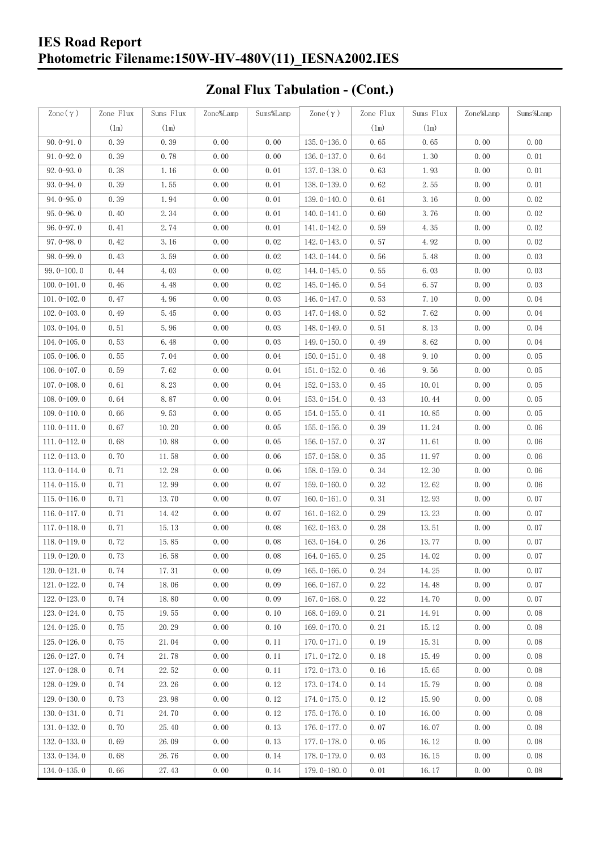### **IES Road Report Photometric Filename:150W-HV-480V(11)\_IESNA2002.IES**

# **Zonal Flux Tabulation - (Cont.)**

| $\text{Zone}(\gamma)$ | Zone Flux | Sums Flux | Zone%Lamp | Sums%Lamp | Zone $(\gamma)$ | Zone Flux | Sums Flux | Zone%Lamp | Sums%Lamp |
|-----------------------|-----------|-----------|-----------|-----------|-----------------|-----------|-----------|-----------|-----------|
|                       | (1m)      | (1m)      |           |           |                 | (1m)      | (1m)      |           |           |
| $90.0 - 91.0$         | 0.39      | 0.39      | 0.00      | 0.00      | $135.0 - 136.0$ | 0.65      | 0.65      | 0.00      | 0.00      |
| $91.0 - 92.0$         | 0.39      | 0.78      | 0.00      | 0.00      | $136.0 - 137.0$ | 0.64      | 1.30      | 0.00      | 0.01      |
| $92.0 - 93.0$         | 0.38      | 1.16      | 0.00      | 0.01      | 137.0-138.0     | 0.63      | 1.93      | 0.00      | 0.01      |
| $93.0 - 94.0$         | 0.39      | 1.55      | 0.00      | 0.01      | 138.0-139.0     | 0.62      | 2.55      | 0.00      | 0.01      |
| $94.0 - 95.0$         | 0.39      | 1.94      | 0.00      | 0.01      | 139.0-140.0     | 0.61      | 3.16      | 0.00      | 0.02      |
| $95.0 - 96.0$         | 0.40      | 2.34      | 0.00      | 0.01      | $140.0 - 141.0$ | 0.60      | 3.76      | 0.00      | 0.02      |
| $96.0 - 97.0$         | 0.41      | 2.74      | 0.00      | 0.01      | 141.0-142.0     | 0.59      | 4.35      | 0.00      | 0.02      |
| $97.0 - 98.0$         | 0.42      | 3.16      | 0.00      | 0.02      | 142.0-143.0     | 0.57      | 4.92      | 0.00      | 0.02      |
| $98.0 - 99.0$         | 0.43      | 3.59      | 0.00      | 0.02      | 143.0-144.0     | 0.56      | 5.48      | 0.00      | 0.03      |
| $99.0 - 100.0$        | 0.44      | 4.03      | 0.00      | 0.02      | $144.0 - 145.0$ | 0.55      | 6.03      | 0.00      | 0.03      |
| $100.0 - 101.0$       | 0.46      | 4.48      | 0.00      | 0.02      | $145.0 - 146.0$ | 0.54      | 6.57      | 0.00      | 0.03      |
| $101.0 - 102.0$       | 0.47      | 4.96      | 0.00      | 0.03      | $146.0 - 147.0$ | 0.53      | 7.10      | 0.00      | 0.04      |
| $102.0 - 103.0$       | 0.49      | 5.45      | 0.00      | 0.03      | 147.0-148.0     | 0.52      | 7.62      | 0.00      | 0.04      |
| $103.0 - 104.0$       | 0.51      | 5.96      | 0.00      | 0.03      | 148.0-149.0     | 0.51      | 8.13      | 0.00      | 0.04      |
| $104.0 - 105.0$       | 0.53      | 6.48      | 0.00      | 0.03      | $149.0 - 150.0$ | 0.49      | 8.62      | 0.00      | 0.04      |
| $105.0 - 106.0$       | 0.55      | 7.04      | 0.00      | 0.04      | $150.0 - 151.0$ | 0.48      | 9.10      | 0.00      | 0.05      |
| $106.0 - 107.0$       | 0.59      | 7.62      | 0.00      | 0.04      | $151.0 - 152.0$ | 0.46      | 9.56      | 0.00      | 0.05      |
| $107.0 - 108.0$       | 0.61      | 8.23      | 0.00      | 0.04      | $152.0 - 153.0$ | 0.45      | 10.01     | 0.00      | 0.05      |
| $108.0 - 109.0$       | 0.64      | 8.87      | 0.00      | 0.04      | $153.0 - 154.0$ | 0.43      | 10.44     | 0.00      | 0.05      |
| $109.0 - 110.0$       | 0.66      | 9.53      | 0.00      | 0.05      | 154.0-155.0     | 0.41      | 10.85     | 0.00      | 0.05      |
| $110.0 - 111.0$       | 0.67      | 10.20     | 0.00      | 0.05      | $155.0 - 156.0$ | 0.39      | 11.24     | 0.00      | 0.06      |
| $111.0 - 112.0$       | 0.68      | 10.88     | 0.00      | 0.05      | $156.0 - 157.0$ | 0.37      | 11.61     | 0.00      | 0.06      |
| $112.0 - 113.0$       | 0.70      | 11.58     | 0.00      | 0.06      | $157.0 - 158.0$ | 0.35      | 11.97     | 0.00      | 0.06      |
| $113.0 - 114.0$       | 0.71      | 12.28     | 0.00      | 0.06      | $158.0 - 159.0$ | 0.34      | 12.30     | 0.00      | 0.06      |
| $114.0 - 115.0$       | 0.71      | 12.99     | 0.00      | 0.07      | $159.0 - 160.0$ | 0.32      | 12.62     | 0.00      | 0.06      |
| $115.0 - 116.0$       | 0.71      | 13.70     | 0.00      | 0.07      | $160.0 - 161.0$ | 0.31      | 12.93     | 0.00      | 0.07      |
| $116.0 - 117.0$       | 0.71      | 14.42     | 0.00      | 0.07      | $161.0 - 162.0$ | 0.29      | 13.23     | 0.00      | 0.07      |
| $117.0 - 118.0$       | 0.71      | 15.13     | 0.00      | 0.08      | $162.0 - 163.0$ | 0.28      | 13.51     | 0.00      | 0.07      |
| $118.0 - 119.0$       | 0.72      | 15.85     | 0.00      | 0.08      | $163.0 - 164.0$ | 0.26      | 13.77     | 0.00      | 0.07      |
| $119.0 - 120.0$       | 0.73      | 16.58     | 0.00      | 0.08      | $164.0 - 165.0$ | 0.25      | 14.02     | 0.00      | 0.07      |
| $120.0 - 121.0$       | 0.74      | 17.31     | 0.00      | 0.09      | $165.0 - 166.0$ | 0.24      | 14.25     | 0.00      | 0.07      |
| $121.0 - 122.0$       | 0.74      | 18.06     | 0.00      | 0.09      | 166.0 $-167.0$  | 0.22      | 14.48     | 0.00      | 0.07      |
| $122.0 - 123.0$       | 0.74      | 18.80     | 0.00      | 0.09      | $167.0 - 168.0$ | 0.22      | 14.70     | 0.00      | 0.07      |
| $123.0 - 124.0$       | 0.75      | 19.55     | 0.00      | 0.10      | $168.0 - 169.0$ | 0.21      | 14.91     | 0.00      | 0.08      |
| $124.0 - 125.0$       | 0.75      | 20.29     | 0.00      | 0.10      | 169.0-170.0     | 0.21      | 15.12     | 0.00      | 0.08      |
| $125.0 - 126.0$       | 0.75      | 21.04     | 0.00      | 0.11      | $170.0 - 171.0$ | 0.19      | 15.31     | 0.00      | 0.08      |
| $126.0 - 127.0$       | 0.74      | 21.78     | 0.00      | 0.11      | 171.0-172.0     | 0.18      | 15.49     | 0.00      | 0.08      |
| $127.0 - 128.0$       | 0.74      | 22.52     | 0.00      | 0.11      | 172.0-173.0     | 0.16      | 15.65     | 0.00      | 0.08      |
| $128.0 - 129.0$       | 0.74      | 23.26     | 0.00      | 0.12      | 173.0-174.0     | 0.14      | 15.79     | 0.00      | 0.08      |
| $129.0 - 130.0$       | 0.73      | 23.98     | 0.00      | 0.12      | 174.0-175.0     | 0.12      | 15.90     | 0.00      | 0.08      |
| $130.0 - 131.0$       | 0.71      | 24.70     | 0.00      | 0.12      | $175.0 - 176.0$ | 0.10      | 16.00     | 0.00      | 0.08      |
| $131.0 - 132.0$       | 0.70      | 25.40     | 0.00      | 0.13      | $176.0 - 177.0$ | 0.07      | 16.07     | 0.00      | 0.08      |
| $132.0 - 133.0$       | 0.69      | 26.09     | 0.00      | 0.13      | 177.0-178.0     | 0.05      | 16.12     | 0.00      | 0.08      |
| $133.0 - 134.0$       | 0.68      | 26.76     | 0.00      | 0.14      | 178.0-179.0     | 0.03      | 16.15     | 0.00      | 0.08      |
| $134.0 - 135.0$       | 0.66      | 27.43     | 0.00      | 0.14      | $179.0 - 180.0$ | 0.01      | 16.17     | 0.00      | 0.08      |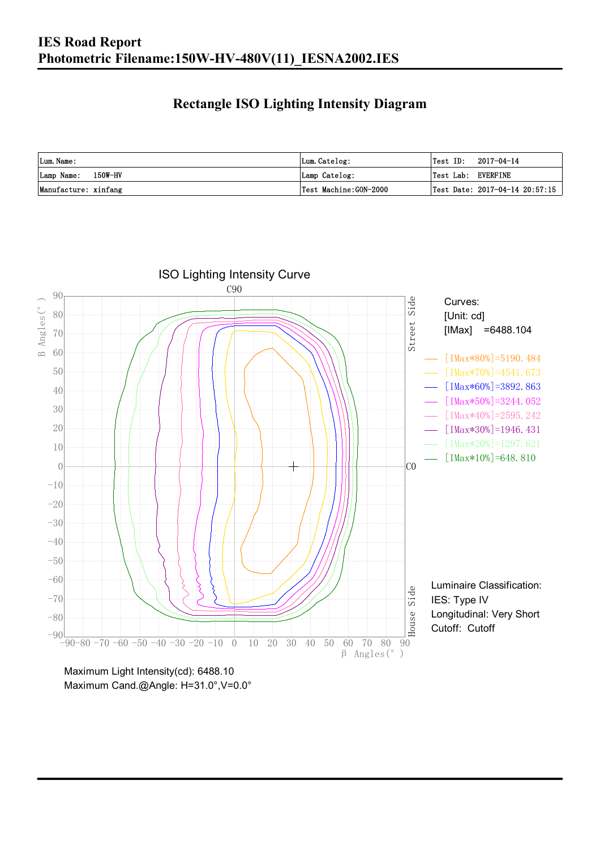### **Rectangle ISO Lighting Intensity Diagram**

| Lum. Name:           | Lum.Catelog:          | $\textsf{Test ID:} \quad 2017-04-14$ |
|----------------------|-----------------------|--------------------------------------|
| Lamp Name: 150W-HV   | Lamp Catelog:         | Test Lab: EVERFINE                   |
| Manufacture: xinfang | Test Machine:GON-2000 | Test Date: $2017-04-14$ $20:57:15$   |



Maximum Cand.@Angle: H=31.0°,V=0.0°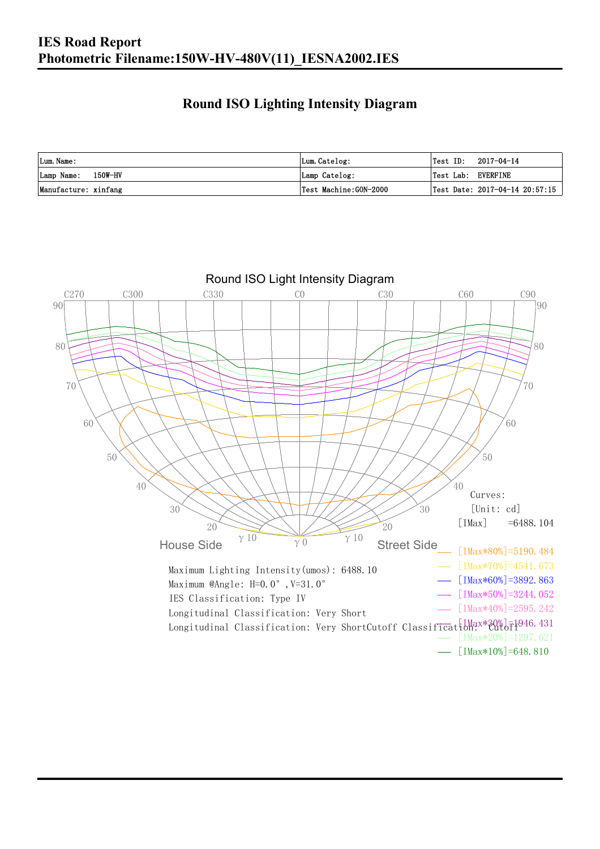### **Round ISO Lighting Intensity Diagram**

| Lum. Name:           | Lum.Catelog:          | Test ID:           | 2017-04-14                         |
|----------------------|-----------------------|--------------------|------------------------------------|
| Lamp Name: 150W-HV   | Lamp Catelog:         | Test Lab: EVERFINE |                                    |
| Manufacture: xinfang | Test Machine:GON-2000 |                    | Test Date: $2017-04-14$ $20:57:15$ |

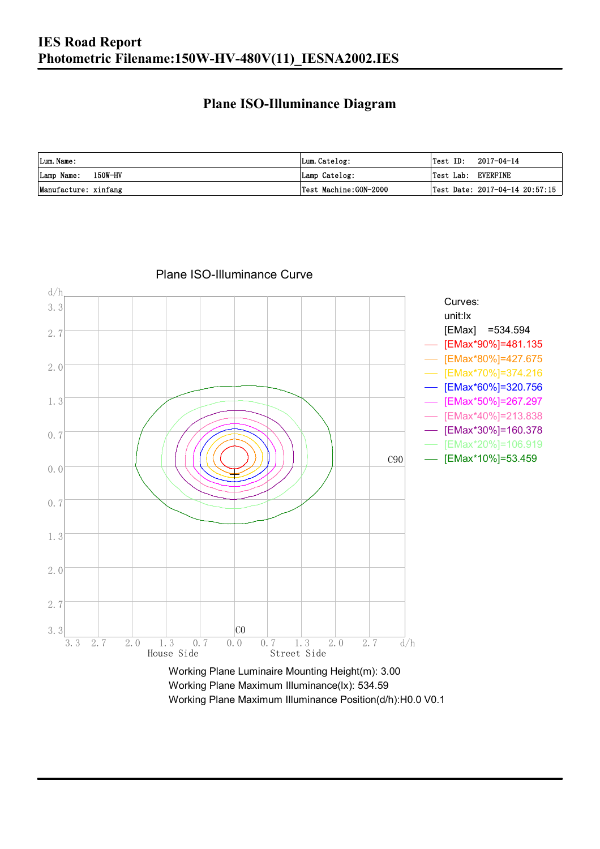### **Plane ISO-Illuminance Diagram**

| Lum. Name:           | Lum.Catelog:          | $\textsf{Test ID:} \quad 2017-04-14$ |                                        |
|----------------------|-----------------------|--------------------------------------|----------------------------------------|
| Lamp Name: 150W-HV   | Lamp Catelog:         | Test Lab: EVERFINE                   |                                        |
| Manufacture: xinfang | Test Machine:GON-2000 |                                      | $\vert$ Test Date: 2017-04-14 20:57:15 |



#### Plane ISO-Illuminance Curve

Working Plane Maximum Illuminance(lx): 534.59 Working Plane Maximum Illuminance Position(d/h):H0.0 V0.1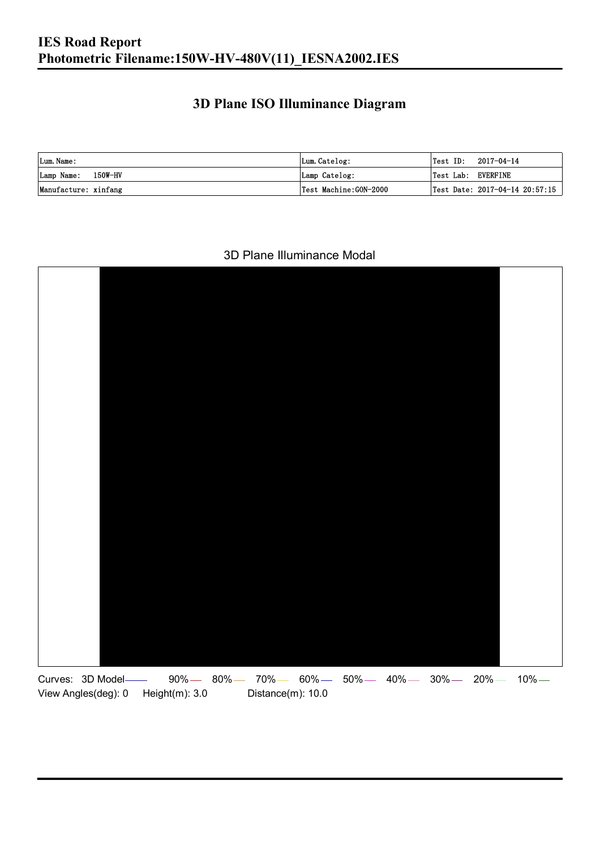### **3D Plane ISO Illuminance Diagram**

| Lum. Name:           | Lum.Catelog:          |                    | $\textsf{Test ID:} \quad 2017-04-14$ |
|----------------------|-----------------------|--------------------|--------------------------------------|
| Lamp Name: 150W-HV   | Lamp Catelog:         | Test Lab: EVERFINE |                                      |
| Manufacture: xinfang | Test Machine:GON-2000 |                    | Test Date: 2017-04-14 20:57:15       |

#### 3D Plane Illuminance Modal

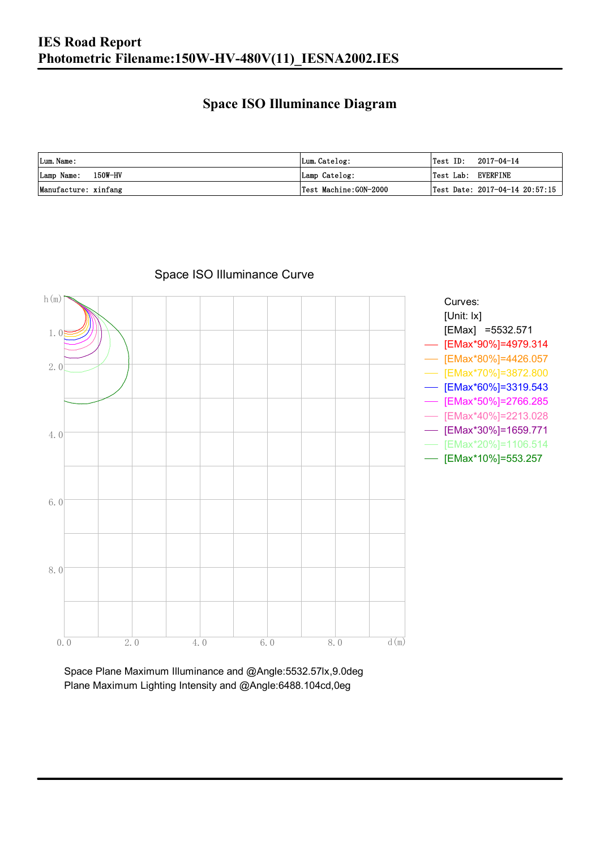#### **Space ISO Illuminance Diagram**

| Lum. Name:           | Lum.Catelog:          | $\textsf{Test ID:} \quad 2017-04-14$   |
|----------------------|-----------------------|----------------------------------------|
| Lamp Name: 150W-HV   | Lamp Catelog:         | Test Lab: EVERFINE                     |
| Manufacture: xinfang | Test Machine:GON-2000 | $\vert$ Test Date: 2017-04-14 20:57:15 |



#### Space ISO Illuminance Curve

Space Plane Maximum Illuminance and @Angle:5532.57lx,9.0deg Plane Maximum Lighting Intensity and @Angle:6488.104cd,0eg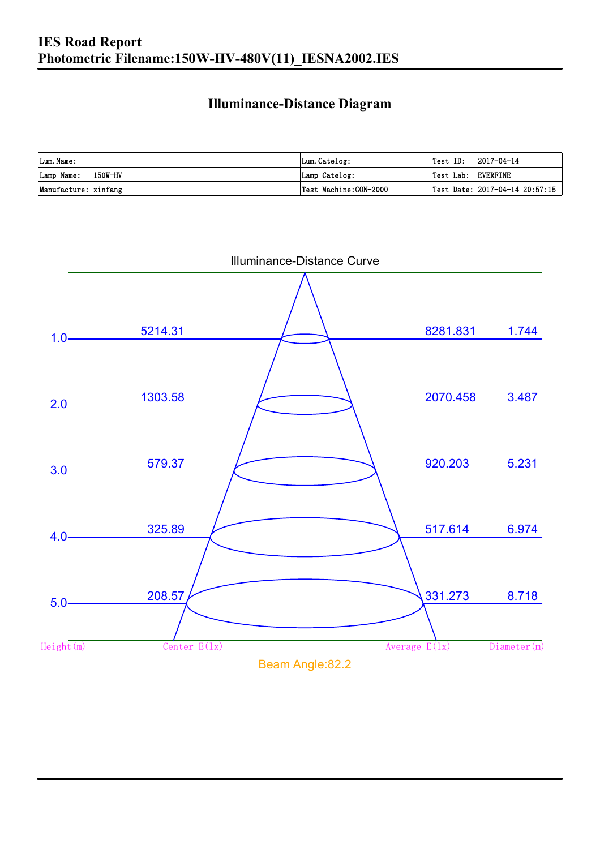### **Illuminance-Distance Diagram**

| Lum. Name:           | Lum.Catelog:          | Test ID: 2017-04-14 |                                |
|----------------------|-----------------------|---------------------|--------------------------------|
| Lamp Name: 150W-HV   | Lamp Catelog:         | Test Lab: EVERFINE  |                                |
| Manufacture: xinfang | Test Machine:GON-2000 |                     | Test Date: 2017-04-14 20:57:15 |



Illuminance-Distance Curve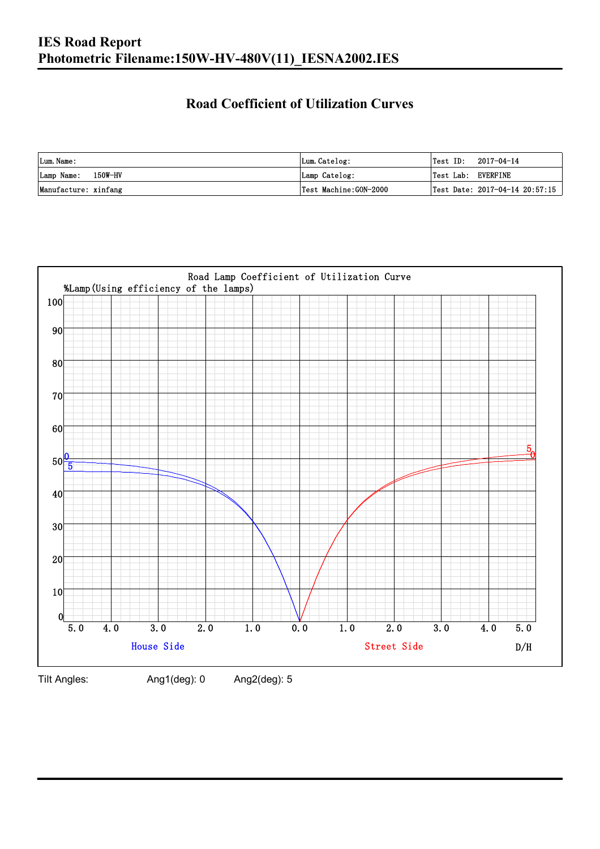#### **Road Coefficient of Utilization Curves**

| Lum. Name:           | Lum.Catelog:          | Test ID:           | 2017-04-14                     |
|----------------------|-----------------------|--------------------|--------------------------------|
| Lamp Name: 150W-HV   | Lamp Catelog:         | Test Lab: EVERFINE |                                |
| Manufacture: xinfang | Test Machine:GON-2000 |                    | Test Date: 2017-04-14 20:57:15 |



Tilt Angles: Ang1(deg): 0 Ang2(deg): 5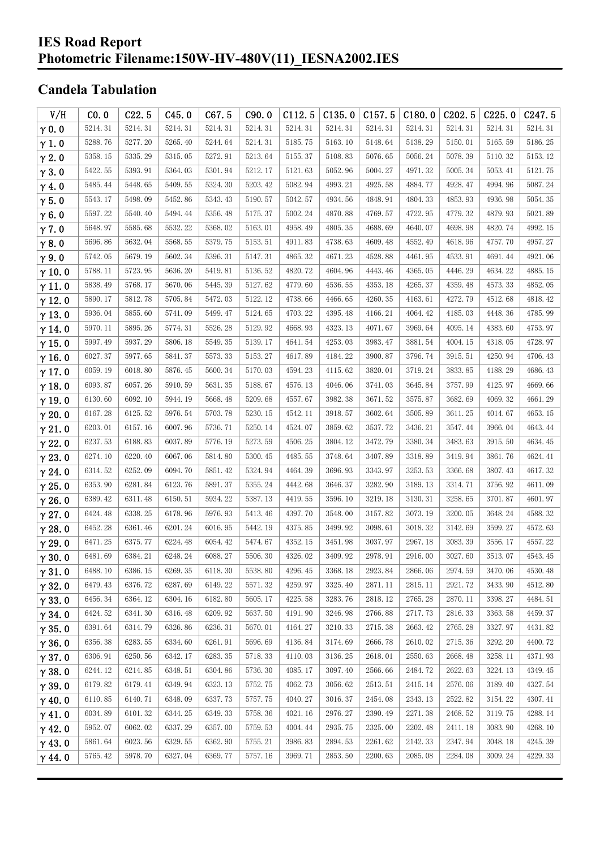#### **IES Road Report Photometric Filename:150W-HV-480V(11)\_IESNA2002.IES**

### **Candela Tabulation**

| V/H           | CO.0    | C22.5   | C45.0   | C67.5   | C90.0   | C112.5  | C135.0  | C157.5  | C180.0  | C <sub>2</sub> 02.5 | C225.0  | C247.5  |
|---------------|---------|---------|---------|---------|---------|---------|---------|---------|---------|---------------------|---------|---------|
| $\gamma$ 0.0  | 5214.31 | 5214.31 | 5214.31 | 5214.31 | 5214.31 | 5214.31 | 5214.31 | 5214.31 | 5214.31 | 5214.31             | 5214.31 | 5214.31 |
| $\gamma$ 1.0  | 5288.76 | 5277.20 | 5265.40 | 5244.64 | 5214.31 | 5185.75 | 5163.10 | 5148.64 | 5138.29 | 5150.01             | 5165.59 | 5186.25 |
| $\gamma$ 2.0  | 5358.15 | 5335.29 | 5315.05 | 5272.91 | 5213.64 | 5155.37 | 5108.83 | 5076.65 | 5056.24 | 5078.39             | 5110.32 | 5153.12 |
| $\gamma$ 3.0  | 5422.55 | 5393.91 | 5364.03 | 5301.94 | 5212.17 | 5121.63 | 5052.96 | 5004.27 | 4971.32 | 5005.34             | 5053.41 | 5121.75 |
| $\gamma$ 4.0  | 5485.44 | 5448.65 | 5409.55 | 5324.30 | 5203.42 | 5082.94 | 4993.21 | 4925.58 | 4884.77 | 4928.47             | 4994.96 | 5087.24 |
| $\gamma$ 5.0  | 5543.17 | 5498.09 | 5452.86 | 5343.43 | 5190.57 | 5042.57 | 4934.56 | 4848.91 | 4804.33 | 4853.93             | 4936.98 | 5054.35 |
| $\gamma$ 6.0  | 5597.22 | 5540.40 | 5494.44 | 5356.48 | 5175.37 | 5002.24 | 4870.88 | 4769.57 | 4722.95 | 4779.32             | 4879.93 | 5021.89 |
| $\gamma$ 7.0  | 5648.97 | 5585.68 | 5532.22 | 5368.02 | 5163.01 | 4958.49 | 4805.35 | 4688.69 | 4640.07 | 4698.98             | 4820.74 | 4992.15 |
| $\gamma$ 8.0  | 5696.86 | 5632.04 | 5568.55 | 5379.75 | 5153.51 | 4911.83 | 4738.63 | 4609.48 | 4552.49 | 4618.96             | 4757.70 | 4957.27 |
| $\gamma$ 9.0  | 5742.05 | 5679.19 | 5602.34 | 5396.31 | 5147.31 | 4865.32 | 4671.23 | 4528.88 | 4461.95 | 4533.91             | 4691.44 | 4921.06 |
| $\gamma$ 10.0 | 5788.11 | 5723.95 | 5636.20 | 5419.81 | 5136.52 | 4820.72 | 4604.96 | 4443.46 | 4365.05 | 4446.29             | 4634.22 | 4885.15 |
| $\gamma$ 11.0 | 5838.49 | 5768.17 | 5670.06 | 5445.39 | 5127.62 | 4779.60 | 4536.55 | 4353.18 | 4265.37 | 4359.48             | 4573.33 | 4852.05 |
| $\gamma$ 12.0 | 5890.17 | 5812.78 | 5705.84 | 5472.03 | 5122.12 | 4738.66 | 4466.65 | 4260.35 | 4163.61 | 4272.79             | 4512.68 | 4818.42 |
| $\gamma$ 13.0 | 5936.04 | 5855.60 | 5741.09 | 5499.47 | 5124.65 | 4703.22 | 4395.48 | 4166.21 | 4064.42 | 4185.03             | 4448.36 | 4785.99 |
| $\gamma$ 14.0 | 5970.11 | 5895.26 | 5774.31 | 5526.28 | 5129.92 | 4668.93 | 4323.13 | 4071.67 | 3969.64 | 4095.14             | 4383.60 | 4753.97 |
| $\gamma$ 15.0 | 5997.49 | 5937.29 | 5806.18 | 5549.35 | 5139.17 | 4641.54 | 4253.03 | 3983.47 | 3881.54 | 4004.15             | 4318.05 | 4728.97 |
| $\gamma$ 16.0 | 6027.37 | 5977.65 | 5841.37 | 5573.33 | 5153.27 | 4617.89 | 4184.22 | 3900.87 | 3796.74 | 3915.51             | 4250.94 | 4706.43 |
| $\gamma$ 17.0 | 6059.19 | 6018.80 | 5876.45 | 5600.34 | 5170.03 | 4594.23 | 4115.62 | 3820.01 | 3719.24 | 3833.85             | 4188.29 | 4686.43 |
| $\gamma$ 18.0 | 6093.87 | 6057.26 | 5910.59 | 5631.35 | 5188.67 | 4576.13 | 4046.06 | 3741.03 | 3645.84 | 3757.99             | 4125.97 | 4669.66 |
| $\gamma$ 19.0 | 6130.60 | 6092.10 | 5944.19 | 5668.48 | 5209.68 | 4557.67 | 3982.38 | 3671.52 | 3575.87 | 3682.69             | 4069.32 | 4661.29 |
| $\gamma$ 20.0 | 6167.28 | 6125.52 | 5976.54 | 5703.78 | 5230.15 | 4542.11 | 3918.57 | 3602.64 | 3505.89 | 3611.25             | 4014.67 | 4653.15 |
| $\gamma$ 21.0 | 6203.01 | 6157.16 | 6007.96 | 5736.71 | 5250.14 | 4524.07 | 3859.62 | 3537.72 | 3436.21 | 3547.44             | 3966.04 | 4643.44 |
| $\gamma$ 22.0 | 6237.53 | 6188.83 | 6037.89 | 5776.19 | 5273.59 | 4506.25 | 3804.12 | 3472.79 | 3380.34 | 3483.63             | 3915.50 | 4634.45 |
| $\gamma$ 23.0 | 6274.10 | 6220.40 | 6067.06 | 5814.80 | 5300.45 | 4485.55 | 3748.64 | 3407.89 | 3318.89 | 3419.94             | 3861.76 | 4624.41 |
| $\gamma$ 24.0 | 6314.52 | 6252.09 | 6094.70 | 5851.42 | 5324.94 | 4464.39 | 3696.93 | 3343.97 | 3253.53 | 3366.68             | 3807.43 | 4617.32 |
| $\gamma$ 25.0 | 6353.90 | 6281.84 | 6123.76 | 5891.37 | 5355.24 | 4442.68 | 3646.37 | 3282.90 | 3189.13 | 3314.71             | 3756.92 | 4611.09 |
| $\gamma$ 26.0 | 6389.42 | 6311.48 | 6150.51 | 5934.22 | 5387.13 | 4419.55 | 3596.10 | 3219.18 | 3130.31 | 3258.65             | 3701.87 | 4601.97 |
| $\gamma$ 27.0 | 6424.48 | 6338.25 | 6178.96 | 5976.93 | 5413.46 | 4397.70 | 3548.00 | 3157.82 | 3073.19 | 3200.05             | 3648.24 | 4588.32 |
| $\gamma$ 28.0 | 6452.28 | 6361.46 | 6201.24 | 6016.95 | 5442.19 | 4375.85 | 3499.92 | 3098.61 | 3018.32 | 3142.69             | 3599.27 | 4572.63 |
| $\gamma$ 29.0 | 6471.25 | 6375.77 | 6224.48 | 6054.42 | 5474.67 | 4352.15 | 3451.98 | 3037.97 | 2967.18 | 3083.39             | 3556.17 | 4557.22 |
| $\gamma$ 30.0 | 6481.69 | 6384.21 | 6248.24 | 6088.27 | 5506.30 | 4326.02 | 3409.92 | 2978.91 | 2916.00 | 3027.60             | 3513.07 | 4543.45 |
| $\gamma$ 31.0 | 6488.10 | 6386.15 | 6269.35 | 6118.30 | 5538.80 | 4296.45 | 3368.18 | 2923.84 | 2866.06 | 2974.59             | 3470.06 | 4530.48 |
| $\gamma$ 32.0 | 6479.43 | 6376.72 | 6287.69 | 6149.22 | 5571.32 | 4259.97 | 3325.40 | 2871.11 | 2815.11 | 2921.72             | 3433.90 | 4512.80 |
| $\gamma$ 33.0 | 6456.34 | 6364.12 | 6304.16 | 6182.80 | 5605.17 | 4225.58 | 3283.76 | 2818.12 | 2765.28 | 2870.11             | 3398.27 | 4484.51 |
| $\gamma$ 34.0 | 6424.52 | 6341.30 | 6316.48 | 6209.92 | 5637.50 | 4191.90 | 3246.98 | 2766.88 | 2717.73 | 2816.33             | 3363.58 | 4459.37 |
| $\gamma$ 35.0 | 6391.64 | 6314.79 | 6326.86 | 6236.31 | 5670.01 | 4164.27 | 3210.33 | 2715.38 | 2663.42 | 2765.28             | 3327.97 | 4431.82 |
| $\gamma$ 36.0 | 6356.38 | 6283.55 | 6334.60 | 6261.91 | 5696.69 | 4136.84 | 3174.69 | 2666.78 | 2610.02 | 2715.36             | 3292.20 | 4400.72 |
| $\gamma$ 37.0 | 6306.91 | 6250.56 | 6342.17 | 6283.35 | 5718.33 | 4110.03 | 3136.25 | 2618.01 | 2550.63 | 2668.48             | 3258.11 | 4371.93 |
| $\gamma$ 38.0 | 6244.12 | 6214.85 | 6348.51 | 6304.86 | 5736.30 | 4085.17 | 3097.40 | 2566.66 | 2484.72 | 2622.63             | 3224.13 | 4349.45 |
| $\gamma$ 39.0 | 6179.82 | 6179.41 | 6349.94 | 6323.13 | 5752.75 | 4062.73 | 3056.62 | 2513.51 | 2415.14 | 2576.06             | 3189.40 | 4327.54 |
| $\gamma$ 40.0 | 6110.85 | 6140.71 | 6348.09 | 6337.73 | 5757.75 | 4040.27 | 3016.37 | 2454.08 | 2343.13 | 2522.82             | 3154.22 | 4307.41 |
| $\gamma$ 41.0 | 6034.89 | 6101.32 | 6344.25 | 6349.33 | 5758.36 | 4021.16 | 2976.27 | 2390.49 | 2271.38 | 2468.52             | 3119.75 | 4288.14 |
| $\gamma$ 42.0 | 5952.07 | 6062.02 | 6337.29 | 6357.00 | 5759.53 | 4004.44 | 2935.75 | 2325.00 | 2202.48 | 2411.18             | 3083.90 | 4268.10 |
| $\gamma$ 43.0 | 5861.64 | 6023.56 | 6329.55 | 6362.90 | 5755.21 | 3986.83 | 2894.53 | 2261.62 | 2142.33 | 2347.94             | 3048.18 | 4245.39 |
| $\gamma$ 44.0 | 5765.42 | 5978.70 | 6327.04 | 6369.77 | 5757.16 | 3969.71 | 2853.50 | 2200.63 | 2085.08 | 2284.08             | 3009.24 | 4229.33 |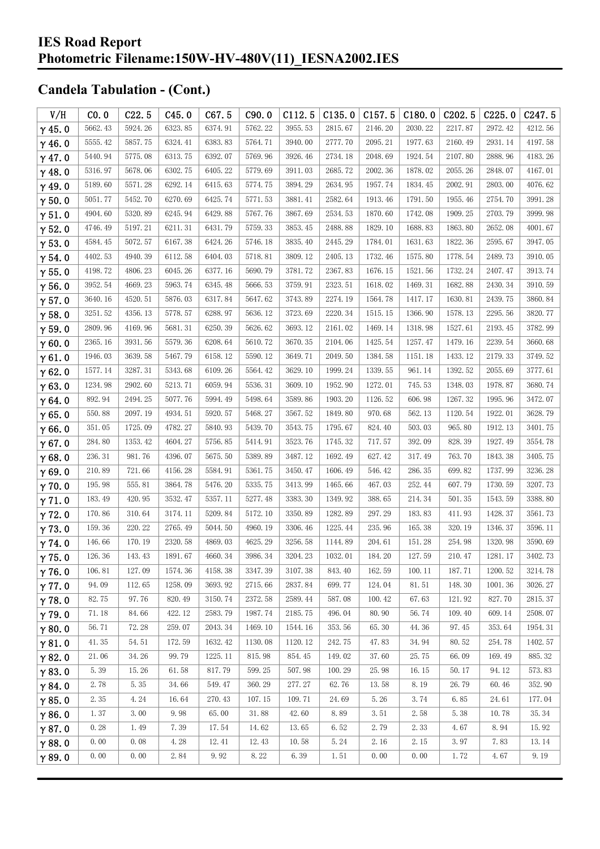| V/H           | CO.0    | C22.5   | C45.0   | C67.5   | C90.0   | C112.5  | C135.0  | C157.5  | C180.0  | C202.5     | C225.0  | C <sub>247.5</sub> |
|---------------|---------|---------|---------|---------|---------|---------|---------|---------|---------|------------|---------|--------------------|
| $\gamma$ 45.0 | 5662.43 | 5924.26 | 6323.85 | 6374.91 | 5762.22 | 3955.53 | 2815.67 | 2146.20 | 2030.22 | 2217.87    | 2972.42 | 4212.56            |
| $\gamma$ 46.0 | 5555.42 | 5857.75 | 6324.41 | 6383.83 | 5764.71 | 3940.00 | 2777.70 | 2095.21 | 1977.63 | 2160.49    | 2931.14 | 4197.58            |
| $\gamma$ 47.0 | 5440.94 | 5775.08 | 6313.75 | 6392.07 | 5769.96 | 3926.46 | 2734.18 | 2048.69 | 1924.54 | 2107.80    | 2888.96 | 4183.26            |
| $\gamma$ 48.0 | 5316.97 | 5678.06 | 6302.75 | 6405.22 | 5779.69 | 3911.03 | 2685.72 | 2002.36 | 1878.02 | 2055.26    | 2848.07 | 4167.01            |
| $\gamma$ 49.0 | 5189.60 | 5571.28 | 6292.14 | 6415.63 | 5774.75 | 3894.29 | 2634.95 | 1957.74 | 1834.45 | 2002.91    | 2803.00 | 4076.62            |
| $\gamma$ 50.0 | 5051.77 | 5452.70 | 6270.69 | 6425.74 | 5771.53 | 3881.41 | 2582.64 | 1913.46 | 1791.50 | 1955.46    | 2754.70 | 3991.28            |
| $\gamma$ 51.0 | 4904.60 | 5320.89 | 6245.94 | 6429.88 | 5767.76 | 3867.69 | 2534.53 | 1870.60 | 1742.08 | 1909.25    | 2703.79 | 3999.98            |
| $\gamma$ 52.0 | 4746.49 | 5197.21 | 6211.31 | 6431.79 | 5759.33 | 3853.45 | 2488.88 | 1829.10 | 1688.83 | 1863.80    | 2652.08 | 4001.67            |
| $\gamma$ 53.0 | 4584.45 | 5072.57 | 6167.38 | 6424.26 | 5746.18 | 3835.40 | 2445.29 | 1784.01 | 1631.63 | 1822.36    | 2595.67 | 3947.05            |
| $\gamma$ 54.0 | 4402.53 | 4940.39 | 6112.58 | 6404.03 | 5718.81 | 3809.12 | 2405.13 | 1732.46 | 1575.80 | 1778.54    | 2489.73 | 3910.05            |
| $\gamma$ 55.0 | 4198.72 | 4806.23 | 6045.26 | 6377.16 | 5690.79 | 3781.72 | 2367.83 | 1676.15 | 1521.56 | 1732.24    | 2407.47 | 3913.74            |
| $\gamma$ 56.0 | 3952.54 | 4669.23 | 5963.74 | 6345.48 | 5666.53 | 3759.91 | 2323.51 | 1618.02 | 1469.31 | 1682.88    | 2430.34 | 3910.59            |
| $\gamma$ 57.0 | 3640.16 | 4520.51 | 5876.03 | 6317.84 | 5647.62 | 3743.89 | 2274.19 | 1564.78 | 1417.17 | 1630.81    | 2439.75 | 3860.84            |
| $\gamma$ 58.0 | 3251.52 | 4356.13 | 5778.57 | 6288.97 | 5636.12 | 3723.69 | 2220.34 | 1515.15 | 1366.90 | 1578.13    | 2295.56 | 3820.77            |
| $\gamma$ 59.0 | 2809.96 | 4169.96 | 5681.31 | 6250.39 | 5626.62 | 3693.12 | 2161.02 | 1469.14 | 1318.98 | 1527.61    | 2193.45 | 3782.99            |
| $\gamma$ 60.0 | 2365.16 | 3931.56 | 5579.36 | 6208.64 | 5610.72 | 3670.35 | 2104.06 | 1425.54 | 1257.47 | 1479.16    | 2239.54 | 3660.68            |
| $\gamma$ 61.0 | 1946.03 | 3639.58 | 5467.79 | 6158.12 | 5590.12 | 3649.71 | 2049.50 | 1384.58 | 1151.18 | 1433.12    | 2179.33 | 3749.52            |
| $\gamma$ 62.0 | 1577.14 | 3287.31 | 5343.68 | 6109.26 | 5564.42 | 3629.10 | 1999.24 | 1339.55 | 961.14  | 1392.52    | 2055.69 | 3777.61            |
| $\gamma$ 63.0 | 1234.98 | 2902.60 | 5213.71 | 6059.94 | 5536.31 | 3609.10 | 1952.90 | 1272.01 | 745.53  | 1348.03    | 1978.87 | 3680.74            |
| $\gamma$ 64.0 | 892.94  | 2494.25 | 5077.76 | 5994.49 | 5498.64 | 3589.86 | 1903.20 | 1126.52 | 606.98  | 1267.32    | 1995.96 | 3472.07            |
| $\gamma$ 65.0 | 550.88  | 2097.19 | 4934.51 | 5920.57 | 5468.27 | 3567.52 | 1849.80 | 970.68  | 562.13  | 1120.54    | 1922.01 | 3628.79            |
| $\gamma$ 66.0 | 351.05  | 1725.09 | 4782.27 | 5840.93 | 5439.70 | 3543.75 | 1795.67 | 824.40  | 503.03  | 965.80     | 1912.13 | 3401.75            |
| $\gamma$ 67.0 | 284.80  | 1353.42 | 4604.27 | 5756.85 | 5414.91 | 3523.76 | 1745.32 | 717.57  | 392.09  | 828.39     | 1927.49 | 3554.78            |
| $\gamma$ 68.0 | 236.31  | 981.76  | 4396.07 | 5675.50 | 5389.89 | 3487.12 | 1692.49 | 627.42  | 317.49  | 763.70     | 1843.38 | 3405.75            |
| $\gamma$ 69.0 | 210.89  | 721.66  | 4156.28 | 5584.91 | 5361.75 | 3450.47 | 1606.49 | 546.42  | 286.35  | 699.82     | 1737.99 | 3236.28            |
| $\gamma$ 70.0 | 195.98  | 555.81  | 3864.78 | 5476.20 | 5335.75 | 3413.99 | 1465.66 | 467.03  | 252.44  | 607.79     | 1730.59 | 3207.73            |
| $\gamma$ 71.0 | 183.49  | 420.95  | 3532.47 | 5357.11 | 5277.48 | 3383.30 | 1349.92 | 388.65  | 214.34  | $501.\,35$ | 1543.59 | 3388.80            |
| $\gamma$ 72.0 | 170.86  | 310.64  | 3174.11 | 5209.84 | 5172.10 | 3350.89 | 1282.89 | 297.29  | 183.83  | 411.93     | 1428.37 | 3561.73            |
| $\gamma$ 73.0 | 159.36  | 220.22  | 2765.49 | 5044.50 | 4960.19 | 3306.46 | 1225.44 | 235.96  | 165.38  | 320.19     | 1346.37 | 3596.11            |
| $\gamma$ 74.0 | 146.66  | 170.19  | 2320.58 | 4869.03 | 4625.29 | 3256.58 | 1144.89 | 204.61  | 151.28  | 254.98     | 1320.98 | 3590.69            |
| $\gamma$ 75.0 | 126.36  | 143.43  | 1891.67 | 4660.34 | 3986.34 | 3204.23 | 1032.01 | 184.20  | 127.59  | 210.47     | 1281.17 | 3402.73            |
| $\gamma$ 76.0 | 106.81  | 127.09  | 1574.36 | 4158.38 | 3347.39 | 3107.38 | 843.40  | 162.59  | 100.11  | 187.71     | 1200.52 | 3214.78            |
| $\gamma$ 77.0 | 94.09   | 112.65  | 1258.09 | 3693.92 | 2715.66 | 2837.84 | 699.77  | 124.04  | 81.51   | 148.30     | 1001.36 | 3026.27            |
| $\gamma$ 78.0 | 82.75   | 97.76   | 820.49  | 3150.74 | 2372.58 | 2589.44 | 587.08  | 100.42  | 67.63   | 121.92     | 827.70  | 2815.37            |
| $\gamma$ 79.0 | 71.18   | 84.66   | 422.12  | 2583.79 | 1987.74 | 2185.75 | 496.04  | 80.90   | 56.74   | 109.40     | 609.14  | 2508.07            |
| $\gamma$ 80.0 | 56.71   | 72.28   | 259.07  | 2043.34 | 1469.10 | 1544.16 | 353.56  | 65.30   | 44.36   | 97.45      | 353.64  | 1954.31            |
| $\gamma$ 81.0 | 41.35   | 54.51   | 172.59  | 1632.42 | 1130.08 | 1120.12 | 242.75  | 47.83   | 34.94   | 80.52      | 254.78  | 1402.57            |
| $\gamma$ 82.0 | 21.06   | 34.26   | 99.79   | 1225.11 | 815.98  | 854.45  | 149.02  | 37.60   | 25.75   | 66.09      | 169.49  | 885.32             |
| $\gamma$ 83.0 | 5.39    | 15.26   | 61.58   | 817.79  | 599.25  | 507.98  | 100.29  | 25.98   | 16.15   | 50.17      | 94.12   | 573.83             |
| $\gamma$ 84.0 | 2.78    | 5.35    | 34.66   | 549.47  | 360.29  | 277.27  | 62.76   | 13.58   | 8.19    | 26.79      | 60.46   | 352.90             |
| $\gamma$ 85.0 | 2.35    | 4.24    | 16.64   | 270.43  | 107.15  | 109.71  | 24.69   | 5.26    | 3.74    | 6.85       | 24.61   | 177.04             |
| $\gamma$ 86.0 | 1.37    | 3.00    | 9.98    | 65.00   | 31.88   | 42.60   | 8.89    | 3.51    | 2.58    | 5.38       | 10.78   | 35.34              |
| $\gamma$ 87.0 | 0.28    | 1.49    | 7.39    | 17.54   | 14.62   | 13.65   | 6.52    | 2.79    | 2.33    | 4.67       | 8.94    | 15.92              |
| $\gamma$ 88.0 | 0.00    | 0.08    | 4.28    | 12.41   | 12.43   | 10.58   | 5.24    | 2.16    | 2.15    | 3.97       | 7.83    | 13.14              |
| $\gamma$ 89.0 | 0.00    | 0.00    | 2.84    | 9.92    | 8.22    | 6.39    | 1.51    | 0.00    | 0.00    | 1.72       | 4.67    | 9.19               |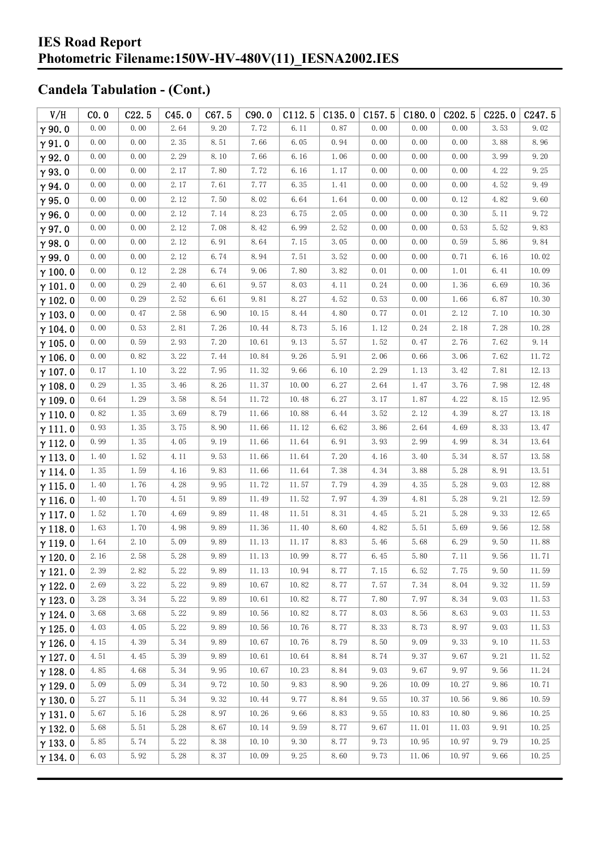| V/H            | CO.0     | C22.5 | C45.0 | C67.5 | C90.0 | C112.5 | C135.0   | C157.5   | C180.0 | C202.5 | C225.0 | C <sub>247.5</sub> |
|----------------|----------|-------|-------|-------|-------|--------|----------|----------|--------|--------|--------|--------------------|
| $\gamma$ 90.0  | 0.00     | 0.00  | 2.64  | 9.20  | 7.72  | 6.11   | 0.87     | 0.00     | 0.00   | 0.00   | 3.53   | 9.02               |
| $\gamma$ 91.0  | 0.00     | 0.00  | 2.35  | 8.51  | 7.66  | 6.05   | 0.94     | 0.00     | 0.00   | 0.00   | 3.88   | 8.96               |
| $\gamma$ 92.0  | 0.00     | 0.00  | 2.29  | 8.10  | 7.66  | 6.16   | 1.06     | 0.00     | 0.00   | 0.00   | 3.99   | 9.20               |
| $\gamma$ 93.0  | 0.00     | 0.00  | 2.17  | 7.80  | 7.72  | 6.16   | 1.17     | 0.00     | 0.00   | 0.00   | 4.22   | 9.25               |
| $\gamma$ 94.0  | 0.00     | 0.00  | 2.17  | 7.61  | 7.77  | 6.35   | 1.41     | 0.00     | 0.00   | 0.00   | 4.52   | 9.49               |
| $\gamma$ 95.0  | 0.00     | 0.00  | 2.12  | 7.50  | 8.02  | 6.64   | 1.64     | 0.00     | 0.00   | 0.12   | 4.82   | 9.60               |
| $\gamma$ 96.0  | 0.00     | 0.00  | 2.12  | 7.14  | 8.23  | 6.75   | 2.05     | 0.00     | 0.00   | 0.30   | 5.11   | 9.72               |
| $\gamma$ 97.0  | 0.00     | 0.00  | 2.12  | 7.08  | 8.42  | 6.99   | 2.52     | 0.00     | 0.00   | 0.53   | 5.52   | 9.83               |
| $\gamma$ 98.0  | 0.00     | 0.00  | 2.12  | 6.91  | 8.64  | 7.15   | 3.05     | 0.00     | 0.00   | 0.59   | 5.86   | 9.84               |
| $\gamma$ 99.0  | 0.00     | 0.00  | 2.12  | 6.74  | 8.94  | 7.51   | 3.52     | 0.00     | 0.00   | 0.71   | 6.16   | 10.02              |
| $\gamma$ 100.0 | 0.00     | 0.12  | 2.28  | 6.74  | 9.06  | 7.80   | 3.82     | 0.01     | 0.00   | 1.01   | 6.41   | 10.09              |
| $\gamma$ 101.0 | 0.00     | 0.29  | 2.40  | 6.61  | 9.57  | 8.03   | 4.11     | 0.24     | 0.00   | 1.36   | 6.69   | 10.36              |
| $\gamma$ 102.0 | 0.00     | 0.29  | 2.52  | 6.61  | 9.81  | 8.27   | 4.52     | 0.53     | 0.00   | 1.66   | 6.87   | 10.30              |
| $\gamma$ 103.0 | 0.00     | 0.47  | 2.58  | 6.90  | 10.15 | 8.44   | $4.80\,$ | 0.77     | 0.01   | 2.12   | 7.10   | 10.30              |
| $\gamma$ 104.0 | 0.00     | 0.53  | 2.81  | 7.26  | 10.44 | 8.73   | $5.16$   | 1.12     | 0.24   | 2.18   | 7.28   | 10.28              |
| $\gamma$ 105.0 | 0.00     | 0.59  | 2.93  | 7.20  | 10.61 | 9.13   | 5.57     | 1.52     | 0.47   | 2.76   | 7.62   | 9.14               |
| $\gamma$ 106.0 | 0.00     | 0.82  | 3.22  | 7.44  | 10.84 | 9.26   | 5.91     | 2.06     | 0.66   | 3.06   | 7.62   | 11.72              |
| $\gamma$ 107.0 | 0.17     | 1.10  | 3.22  | 7.95  | 11.32 | 9.66   | 6.10     | 2.29     | 1.13   | 3.42   | 7.81   | 12.13              |
| $\gamma$ 108.0 | 0.29     | 1.35  | 3.46  | 8.26  | 11.37 | 10.00  | 6.27     | 2.64     | 1.47   | 3.76   | 7.98   | 12.48              |
| $\gamma$ 109.0 | 0.64     | 1.29  | 3.58  | 8.54  | 11.72 | 10.48  | 6.27     | 3.17     | 1.87   | 4.22   | 8.15   | 12.95              |
| $\gamma$ 110.0 | 0.82     | 1.35  | 3.69  | 8.79  | 11.66 | 10.88  | 6.44     | 3.52     | 2.12   | 4.39   | 8.27   | 13.18              |
| $\gamma$ 111.0 | 0.93     | 1.35  | 3.75  | 8.90  | 11.66 | 11.12  | 6.62     | 3.86     | 2.64   | 4.69   | 8.33   | 13.47              |
| $\gamma$ 112.0 | 0.99     | 1.35  | 4.05  | 9.19  | 11.66 | 11.64  | 6.91     | 3.93     | 2.99   | 4.99   | 8.34   | 13.64              |
| $\gamma$ 113.0 | 1.40     | 1.52  | 4.11  | 9.53  | 11.66 | 11.64  | 7.20     | 4.16     | 3.40   | 5.34   | 8.57   | 13.58              |
| $\gamma$ 114.0 | 1.35     | 1.59  | 4.16  | 9.83  | 11.66 | 11.64  | 7.38     | 4.34     | 3.88   | 5.28   | 8.91   | 13.51              |
| $\gamma$ 115.0 | 1.40     | 1.76  | 4.28  | 9.95  | 11.72 | 11.57  | 7.79     | 4.39     | 4.35   | 5.28   | 9.03   | 12.88              |
| $\gamma$ 116.0 | 1.40     | 1.70  | 4.51  | 9.89  | 11.49 | 11.52  | 7.97     | 4.39     | 4.81   | 5.28   | 9.21   | 12.59              |
| $\gamma$ 117.0 | 1.52     | 1.70  | 4.69  | 9.89  | 11.48 | 11.51  | 8.31     | 4.45     | 5.21   | 5.28   | 9.33   | 12.65              |
| $\gamma$ 118.0 | 1.63     | 1.70  | 4.98  | 9.89  | 11.36 | 11.40  | 8.60     | 4.82     | 5.51   | 5.69   | 9.56   | 12.58              |
| $\gamma$ 119.0 | 1.64     | 2.10  | 5.09  | 9.89  | 11.13 | 11.17  | 8.83     | 5.46     | 5.68   | 6.29   | 9.50   | 11.88              |
| $\gamma$ 120.0 | $2.\,16$ | 2.58  | 5.28  | 9.89  | 11.13 | 10.99  | 8.77     | $6.45\,$ | 5.80   | 7.11   | 9.56   | 11.71              |
| $\gamma$ 121.0 | 2.39     | 2.82  | 5.22  | 9.89  | 11.13 | 10.94  | 8.77     | 7.15     | 6.52   | 7.75   | 9.50   | 11.59              |
| $\gamma$ 122.0 | 2.69     | 3.22  | 5.22  | 9.89  | 10.67 | 10.82  | 8.77     | 7.57     | 7.34   | 8.04   | 9.32   | 11.59              |
| $\gamma$ 123.0 | 3.28     | 3.34  | 5.22  | 9.89  | 10.61 | 10.82  | 8.77     | 7.80     | 7.97   | 8.34   | 9.03   | 11.53              |
| $\gamma$ 124.0 | 3.68     | 3.68  | 5.22  | 9.89  | 10.56 | 10.82  | 8.77     | 8.03     | 8.56   | 8.63   | 9.03   | 11.53              |
| $\gamma$ 125.0 | 4.03     | 4.05  | 5.22  | 9.89  | 10.56 | 10.76  | 8.77     | 8.33     | 8.73   | 8.97   | 9.03   | 11.53              |
| $\gamma$ 126.0 | 4.15     | 4.39  | 5.34  | 9.89  | 10.67 | 10.76  | 8.79     | 8.50     | 9.09   | 9.33   | 9.10   | 11.53              |
| $\gamma$ 127.0 | 4.51     | 4.45  | 5.39  | 9.89  | 10.61 | 10.64  | 8.84     | 8.74     | 9.37   | 9.67   | 9.21   | 11.52              |
| $\gamma$ 128.0 | 4.85     | 4.68  | 5.34  | 9.95  | 10.67 | 10.23  | 8.84     | 9.03     | 9.67   | 9.97   | 9.56   | 11.24              |
| $\gamma$ 129.0 | 5.09     | 5.09  | 5.34  | 9.72  | 10.50 | 9.83   | 8.90     | 9.26     | 10.09  | 10.27  | 9.86   | 10.71              |
| $\gamma$ 130.0 | 5.27     | 5.11  | 5.34  | 9.32  | 10.44 | 9.77   | 8.84     | 9.55     | 10.37  | 10.56  | 9.86   | 10.59              |
| $\gamma$ 131.0 | 5.67     | 5.16  | 5.28  | 8.97  | 10.26 | 9.66   | 8.83     | 9.55     | 10.83  | 10.80  | 9.86   | 10.25              |
| $\gamma$ 132.0 | 5.68     | 5.51  | 5.28  | 8.67  | 10.14 | 9.59   | 8.77     | 9.67     | 11.01  | 11.03  | 9.91   | 10.25              |
| $\gamma$ 133.0 | 5.85     | 5.74  | 5.22  | 8.38  | 10.10 | 9.30   | 8.77     | 9.73     | 10.95  | 10.97  | 9.79   | 10.25              |
| $\gamma$ 134.0 | 6.03     | 5.92  | 5.28  | 8.37  | 10.09 | 9.25   | 8.60     | 9.73     | 11.06  | 10.97  | 9.66   | 10.25              |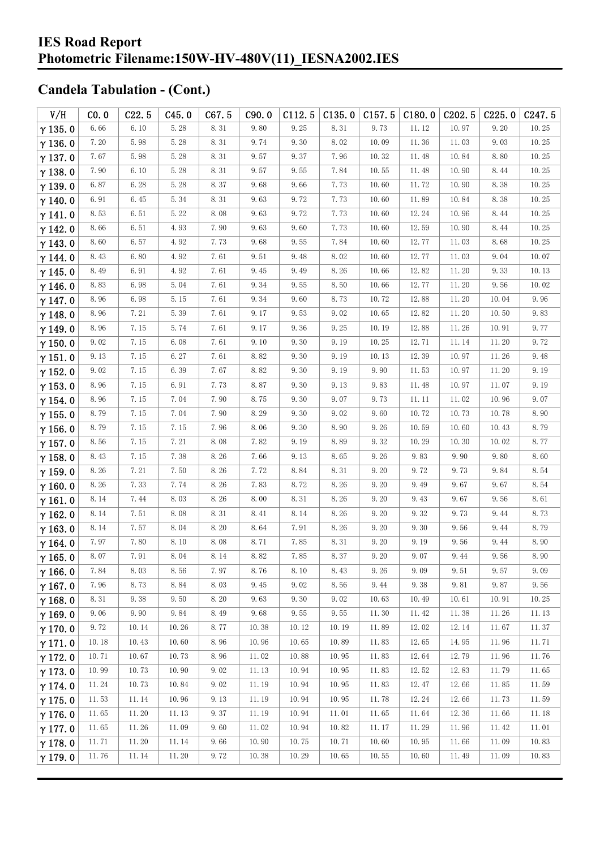| V/H            | CO.0                 | C22.5 | C45.0 | C67.5                | C90.0 | C112.5 | C135.0 | C157.5 | C180.0 | C <sub>202.5</sub> | C225.0 | C <sub>247.5</sub> |
|----------------|----------------------|-------|-------|----------------------|-------|--------|--------|--------|--------|--------------------|--------|--------------------|
| $\gamma$ 135.0 | 6.66                 | 6.10  | 5.28  | 8.31                 | 9.80  | 9.25   | 8.31   | 9.73   | 11.12  | 10.97              | 9.20   | 10.25              |
| $\gamma$ 136.0 | 7.20                 | 5.98  | 5.28  | 8.31                 | 9.74  | 9.30   | 8.02   | 10.09  | 11.36  | 11.03              | 9.03   | 10.25              |
| $\gamma$ 137.0 | 7.67                 | 5.98  | 5.28  | 8.31                 | 9.57  | 9.37   | 7.96   | 10.32  | 11.48  | 10.84              | 8.80   | 10.25              |
| $\gamma$ 138.0 | 7.90                 | 6.10  | 5.28  | 8.31                 | 9.57  | 9.55   | 7.84   | 10.55  | 11.48  | 10.90              | 8.44   | 10.25              |
| $\gamma$ 139.0 | 6.87                 | 6.28  | 5.28  | 8.37                 | 9.68  | 9.66   | 7.73   | 10.60  | 11.72  | 10.90              | 8.38   | 10.25              |
| $\gamma$ 140.0 | 6.91                 | 6.45  | 5.34  | 8.31                 | 9.63  | 9.72   | 7.73   | 10.60  | 11.89  | 10.84              | 8.38   | 10.25              |
| $\gamma$ 141.0 | 8.53                 | 6.51  | 5.22  | 8.08                 | 9.63  | 9.72   | 7.73   | 10.60  | 12.24  | 10.96              | 8.44   | 10.25              |
| $\gamma$ 142.0 | 8.66                 | 6.51  | 4.93  | 7.90                 | 9.63  | 9.60   | 7.73   | 10.60  | 12.59  | 10.90              | 8.44   | 10.25              |
| $\gamma$ 143.0 | 8.60                 | 6.57  | 4.92  | 7.73                 | 9.68  | 9.55   | 7.84   | 10.60  | 12.77  | 11.03              | 8.68   | 10.25              |
| $\gamma$ 144.0 | 8.43                 | 6.80  | 4.92  | 7.61                 | 9.51  | 9.48   | 8.02   | 10.60  | 12.77  | 11.03              | 9.04   | 10.07              |
| $\gamma$ 145.0 | 8.49                 | 6.91  | 4.92  | 7.61                 | 9.45  | 9.49   | 8.26   | 10.66  | 12.82  | 11.20              | 9.33   | 10.13              |
| $\gamma$ 146.0 | 8.83                 | 6.98  | 5.04  | 7.61                 | 9.34  | 9.55   | 8.50   | 10.66  | 12.77  | 11.20              | 9.56   | 10.02              |
| $\gamma$ 147.0 | 8.96                 | 6.98  | 5.15  | 7.61                 | 9.34  | 9.60   | 8.73   | 10.72  | 12.88  | 11.20              | 10.04  | 9.96               |
| $\gamma$ 148.0 | 8.96                 | 7.21  | 5.39  | 7.61                 | 9.17  | 9.53   | 9.02   | 10.65  | 12.82  | 11.20              | 10.50  | 9.83               |
| $\gamma$ 149.0 | 8.96                 | 7.15  | 5.74  | 7.61                 | 9.17  | 9.36   | 9.25   | 10.19  | 12.88  | 11.26              | 10.91  | 9.77               |
| $\gamma$ 150.0 | 9.02                 | 7.15  | 6.08  | 7.61                 | 9.10  | 9.30   | 9.19   | 10.25  | 12.71  | 11.14              | 11.20  | 9.72               |
| $\gamma$ 151.0 | 9.13                 | 7.15  | 6.27  | 7.61                 | 8.82  | 9.30   | 9.19   | 10.13  | 12.39  | 10.97              | 11.26  | 9.48               |
| $\gamma$ 152.0 | 9.02                 | 7.15  | 6.39  | 7.67                 | 8.82  | 9.30   | 9.19   | 9.90   | 11.53  | 10.97              | 11.20  | 9.19               |
| $\gamma$ 153.0 | 8.96                 | 7.15  | 6.91  | 7.73                 | 8.87  | 9.30   | 9.13   | 9.83   | 11.48  | 10.97              | 11.07  | 9.19               |
| $\gamma$ 154.0 | 8.96                 | 7.15  | 7.04  | 7.90                 | 8.75  | 9.30   | 9.07   | 9.73   | 11.11  | 11.02              | 10.96  | 9.07               |
| $\gamma$ 155.0 | 8.79                 | 7.15  | 7.04  | 7.90                 | 8.29  | 9.30   | 9.02   | 9.60   | 10.72  | 10.73              | 10.78  | 8.90               |
| $\gamma$ 156.0 | 8.79                 | 7.15  | 7.15  | 7.96                 | 8.06  | 9.30   | 8.90   | 9.26   | 10.59  | 10.60              | 10.43  | 8.79               |
| $\gamma$ 157.0 | 8.56                 | 7.15  | 7.21  | 8.08                 | 7.82  | 9.19   | 8.89   | 9.32   | 10.29  | 10.30              | 10.02  | 8.77               |
| $\gamma$ 158.0 | 8.43                 | 7.15  | 7.38  | 8.26                 | 7.66  | 9.13   | 8.65   | 9.26   | 9.83   | 9.90               | 9.80   | 8.60               |
| $\gamma$ 159.0 | 8.26                 | 7.21  | 7.50  | 8.26                 | 7.72  | 8.84   | 8.31   | 9.20   | 9.72   | 9.73               | 9.84   | 8.54               |
| $\gamma$ 160.0 | 8.26                 | 7.33  | 7.74  | 8.26                 | 7.83  | 8.72   | 8.26   | 9.20   | 9.49   | 9.67               | 9.67   | 8.54               |
| $\gamma$ 161.0 | 8.14                 | 7.44  | 8.03  | 8.26                 | 8.00  | 8.31   | 8.26   | 9.20   | 9.43   | 9.67               | 9.56   | 8.61               |
| $\gamma$ 162.0 | 8.14                 | 7.51  | 8.08  | 8.31                 | 8.41  | 8.14   | 8.26   | 9.20   | 9.32   | 9.73               | 9.44   | 8.73               |
| $\gamma$ 163.0 | 8.14                 | 7.57  | 8.04  | 8.20                 | 8.64  | 7.91   | 8.26   | 9.20   | 9.30   | 9.56               | 9.44   | 8.79               |
| $\gamma$ 164.0 | 7.97                 | 7.80  | 8.10  | 8.08                 | 8.71  | 7.85   | 8.31   | 9.20   | 9.19   | 9.56               | 9.44   | 8.90               |
| $\gamma$ 165.0 | $8.\,\allowbreak 07$ | 7.91  | 8.04  | $8.\,\allowbreak 14$ | 8.82  | 7.85   | 8.37   | 9.20   | 9.07   | 9.44               | 9.56   | $8.\,90$           |
| $\gamma$ 166.0 | 7.84                 | 8.03  | 8.56  | 7.97                 | 8.76  | 8.10   | 8.43   | 9.26   | 9.09   | 9.51               | 9.57   | 9.09               |
| $\gamma$ 167.0 | 7.96                 | 8.73  | 8.84  | 8.03                 | 9.45  | 9.02   | 8.56   | 9.44   | 9.38   | 9.81               | 9.87   | 9.56               |
| $\gamma$ 168.0 | 8.31                 | 9.38  | 9.50  | 8.20                 | 9.63  | 9.30   | 9.02   | 10.63  | 10.49  | 10.61              | 10.91  | 10.25              |
| $\gamma$ 169.0 | 9.06                 | 9.90  | 9.84  | 8.49                 | 9.68  | 9.55   | 9.55   | 11.30  | 11.42  | 11.38              | 11.26  | 11.13              |
| $\gamma$ 170.0 | 9.72                 | 10.14 | 10.26 | 8.77                 | 10.38 | 10.12  | 10.19  | 11.89  | 12.02  | 12.14              | 11.67  | 11.37              |
| $\gamma$ 171.0 | 10.18                | 10.43 | 10.60 | 8.96                 | 10.96 | 10.65  | 10.89  | 11.83  | 12.65  | 14.95              | 11.96  | 11.71              |
| $\gamma$ 172.0 | 10.71                | 10.67 | 10.73 | 8.96                 | 11.02 | 10.88  | 10.95  | 11.83  | 12.64  | 12.79              | 11.96  | 11.76              |
| $\gamma$ 173.0 | 10.99                | 10.73 | 10.90 | 9.02                 | 11.13 | 10.94  | 10.95  | 11.83  | 12.52  | 12.83              | 11.79  | 11.65              |
| $\gamma$ 174.0 | 11.24                | 10.73 | 10.84 | 9.02                 | 11.19 | 10.94  | 10.95  | 11.83  | 12.47  | 12.66              | 11.85  | 11.59              |
| $\gamma$ 175.0 | 11.53                | 11.14 | 10.96 | 9.13                 | 11.19 | 10.94  | 10.95  | 11.78  | 12.24  | 12.66              | 11.73  | 11.59              |
| $\gamma$ 176.0 | 11.65                | 11.20 | 11.13 | 9.37                 | 11.19 | 10.94  | 11.01  | 11.65  | 11.64  | 12.36              | 11.66  | 11.18              |
| $\gamma$ 177.0 | 11.65                | 11.26 | 11.09 | 9.60                 | 11.02 | 10.94  | 10.82  | 11.17  | 11.29  | 11.96              | 11.42  | 11.01              |
| $\gamma$ 178.0 | 11.71                | 11.20 | 11.14 | 9.66                 | 10.90 | 10.75  | 10.71  | 10.60  | 10.95  | 11.66              | 11.09  | 10.83              |
| $\gamma$ 179.0 | 11.76                | 11.14 | 11.20 | 9.72                 | 10.38 | 10.29  | 10.65  | 10.55  | 10.60  | 11.49              | 11.09  | 10.83              |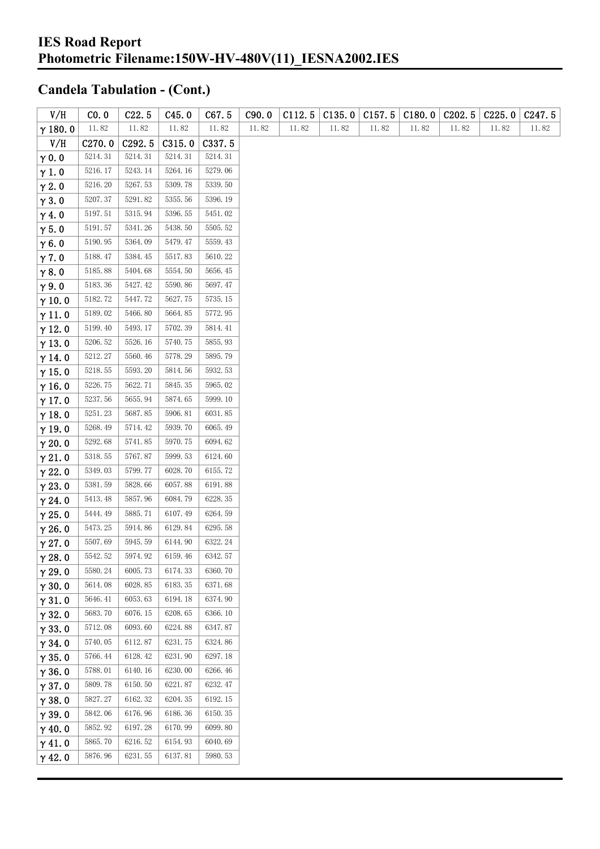| V/H            | CO. 0   | C22.5   | C45.0   | C67.5   | C90.0 | C112.5 | C135.0 | C157.5 | C180.0 | C <sub>2</sub> 02.5 | C225.0 | C <sub>247.5</sub> |
|----------------|---------|---------|---------|---------|-------|--------|--------|--------|--------|---------------------|--------|--------------------|
| $\gamma$ 180.0 | 11.82   | 11.82   | 11.82   | 11.82   | 11.82 | 11.82  | 11.82  | 11.82  | 11.82  | 11.82               | 11.82  | 11.82              |
| V/H            | C270.0  | C292.5  | C315.0  | C337.5  |       |        |        |        |        |                     |        |                    |
| $\gamma$ 0.0   | 5214.31 | 5214.31 | 5214.31 | 5214.31 |       |        |        |        |        |                     |        |                    |
| $\gamma$ 1.0   | 5216.17 | 5243.14 | 5264.16 | 5279.06 |       |        |        |        |        |                     |        |                    |
| $\gamma$ 2.0   | 5216.20 | 5267.53 | 5309.78 | 5339.50 |       |        |        |        |        |                     |        |                    |
| $\gamma$ 3.0   | 5207.37 | 5291.82 | 5355.56 | 5396.19 |       |        |        |        |        |                     |        |                    |
| $\gamma$ 4.0   | 5197.51 | 5315.94 | 5396.55 | 5451.02 |       |        |        |        |        |                     |        |                    |
| $\gamma$ 5.0   | 5191.57 | 5341.26 | 5438.50 | 5505.52 |       |        |        |        |        |                     |        |                    |
| $\gamma$ 6.0   | 5190.95 | 5364.09 | 5479.47 | 5559.43 |       |        |        |        |        |                     |        |                    |
| $\gamma$ 7.0   | 5188.47 | 5384.45 | 5517.83 | 5610.22 |       |        |        |        |        |                     |        |                    |
| $\gamma$ 8.0   | 5185.88 | 5404.68 | 5554.50 | 5656.45 |       |        |        |        |        |                     |        |                    |
| $\gamma$ 9.0   | 5183.36 | 5427.42 | 5590.86 | 5697.47 |       |        |        |        |        |                     |        |                    |
| $\gamma$ 10.0  | 5182.72 | 5447.72 | 5627.75 | 5735.15 |       |        |        |        |        |                     |        |                    |
| $\gamma$ 11.0  | 5189.02 | 5466.80 | 5664.85 | 5772.95 |       |        |        |        |        |                     |        |                    |
| $\gamma$ 12.0  | 5199.40 | 5493.17 | 5702.39 | 5814.41 |       |        |        |        |        |                     |        |                    |
| $\gamma$ 13.0  | 5206.52 | 5526.16 | 5740.75 | 5855.93 |       |        |        |        |        |                     |        |                    |
| $\gamma$ 14.0  | 5212.27 | 5560.46 | 5778.29 | 5895.79 |       |        |        |        |        |                     |        |                    |
| $\gamma$ 15.0  | 5218.55 | 5593.20 | 5814.56 | 5932.53 |       |        |        |        |        |                     |        |                    |
| $\gamma$ 16.0  | 5226.75 | 5622.71 | 5845.35 | 5965.02 |       |        |        |        |        |                     |        |                    |
| $\gamma$ 17.0  | 5237.56 | 5655.94 | 5874.65 | 5999.10 |       |        |        |        |        |                     |        |                    |
| $\gamma$ 18.0  | 5251.23 | 5687.85 | 5906.81 | 6031.85 |       |        |        |        |        |                     |        |                    |
| $\gamma$ 19.0  | 5268.49 | 5714.42 | 5939.70 | 6065.49 |       |        |        |        |        |                     |        |                    |
| $\gamma$ 20.0  | 5292.68 | 5741.85 | 5970.75 | 6094.62 |       |        |        |        |        |                     |        |                    |
| $\gamma$ 21.0  | 5318.55 | 5767.87 | 5999.53 | 6124.60 |       |        |        |        |        |                     |        |                    |
| $\gamma$ 22.0  | 5349.03 | 5799.77 | 6028.70 | 6155.72 |       |        |        |        |        |                     |        |                    |
| $\gamma$ 23.0  | 5381.59 | 5828.66 | 6057.88 | 6191.88 |       |        |        |        |        |                     |        |                    |
| $\gamma$ 24.0  | 5413.48 | 5857.96 | 6084.79 | 6228.35 |       |        |        |        |        |                     |        |                    |
| $\gamma$ 25.0  | 5444.49 | 5885.71 | 6107.49 | 6264.59 |       |        |        |        |        |                     |        |                    |
| $\gamma$ 26.0  | 5473.25 | 5914.86 | 6129.84 | 6295.58 |       |        |        |        |        |                     |        |                    |
| $\gamma$ 27.0  | 5507.69 | 5945.59 | 6144.90 | 6322.24 |       |        |        |        |        |                     |        |                    |
| $\gamma$ 28.0  | 5542.52 | 5974.92 | 6159.46 | 6342.57 |       |        |        |        |        |                     |        |                    |
| $\gamma$ 29.0  | 5580.24 | 6005.73 | 6174.33 | 6360.70 |       |        |        |        |        |                     |        |                    |
| $\gamma$ 30.0  | 5614.08 | 6028.85 | 6183.35 | 6371.68 |       |        |        |        |        |                     |        |                    |
| $\gamma$ 31.0  | 5646.41 | 6053.63 | 6194.18 | 6374.90 |       |        |        |        |        |                     |        |                    |
| $\gamma$ 32.0  | 5683.70 | 6076.15 | 6208.65 | 6366.10 |       |        |        |        |        |                     |        |                    |
| $\gamma$ 33.0  | 5712.08 | 6093.60 | 6224.88 | 6347.87 |       |        |        |        |        |                     |        |                    |
| $\gamma$ 34.0  | 5740.05 | 6112.87 | 6231.75 | 6324.86 |       |        |        |        |        |                     |        |                    |
| $\gamma$ 35.0  | 5766.44 | 6128.42 | 6231.90 | 6297.18 |       |        |        |        |        |                     |        |                    |
| $\gamma$ 36.0  | 5788.01 | 6140.16 | 6230.00 | 6266.46 |       |        |        |        |        |                     |        |                    |
| $\gamma$ 37.0  | 5809.78 | 6150.50 | 6221.87 | 6232.47 |       |        |        |        |        |                     |        |                    |
| $\gamma$ 38.0  | 5827.27 | 6162.32 | 6204.35 | 6192.15 |       |        |        |        |        |                     |        |                    |
| $\gamma$ 39.0  | 5842.06 | 6176.96 | 6186.36 | 6150.35 |       |        |        |        |        |                     |        |                    |
| $\gamma$ 40.0  | 5852.92 | 6197.28 | 6170.99 | 6099.80 |       |        |        |        |        |                     |        |                    |
| $\gamma$ 41.0  | 5865.70 | 6216.52 | 6154.93 | 6040.69 |       |        |        |        |        |                     |        |                    |
| $\gamma$ 42.0  | 5876.96 | 6231.55 | 6137.81 | 5980.53 |       |        |        |        |        |                     |        |                    |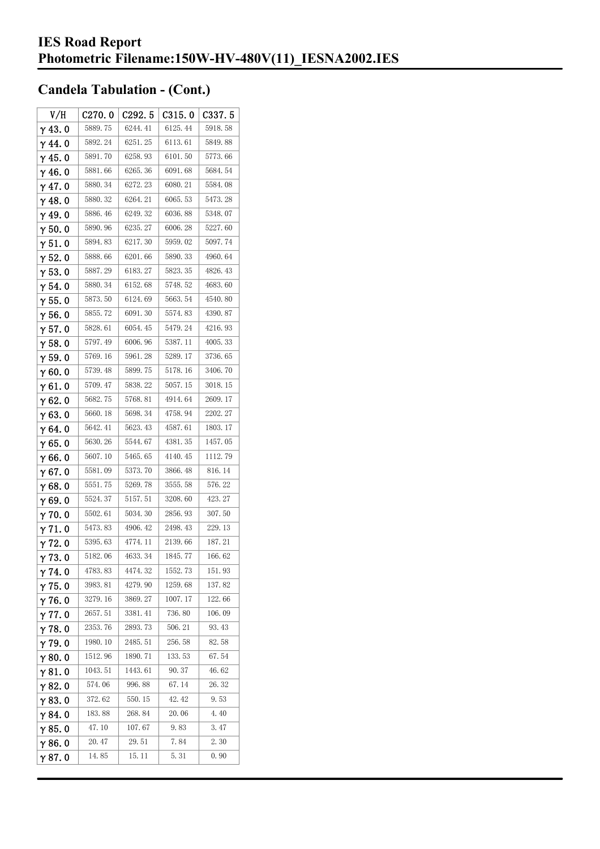| V/H            | C270.0  | C <sub>292.5</sub> | C315.0  | C337.5  |
|----------------|---------|--------------------|---------|---------|
| $\gamma$ 43.0  | 5889.75 | 6244.41            | 6125.44 | 5918.58 |
| $\gamma$ 44.0  | 5892.24 | 6251.25            | 6113.61 | 5849.88 |
| $\gamma$ 45.0  | 5891.70 | 6258.93            | 6101.50 | 5773.66 |
| $\gamma$ 46.0  | 5881.66 | 6265.36            | 6091.68 | 5684.54 |
| $\gamma$ 47.0  | 5880.34 | 6272.23            | 6080.21 | 5584.08 |
| $\gamma$ 48.0  | 5880.32 | 6264.21            | 6065.53 | 5473.28 |
| $\gamma$ 49.0  | 5886.46 | 6249.32            | 6036.88 | 5348.07 |
| $\gamma$ 50.0  | 5890.96 | 6235.27            | 6006.28 | 5227.60 |
| $\gamma$ 51.0  | 5894.83 | 6217.30            | 5959.02 | 5097.74 |
| $\gamma$ 52.0  | 5888.66 | 6201.66            | 5890.33 | 4960.64 |
| $\gamma$ 53. 0 | 5887.29 | 6183.27            | 5823.35 | 4826.43 |
| $\gamma$ 54. 0 | 5880.34 | 6152.68            | 5748.52 | 4683.60 |
| $\gamma$ 55.0  | 5873.50 | 6124.69            | 5663.54 | 4540.80 |
| $\gamma$ 56. 0 | 5855.72 | 6091.30            | 5574.83 | 4390.87 |
| $\gamma$ 57.0  | 5828.61 | 6054.45            | 5479.24 | 4216.93 |
| $\gamma$ 58.0  | 5797.49 | 6006.96            | 5387.11 | 4005.33 |
| $\gamma$ 59.0  | 5769.16 | 5961.28            | 5289.17 | 3736.65 |
| γ60.0          | 5739.48 | 5899.75            | 5178.16 | 3406.70 |
| $\gamma$ 61.0  | 5709.47 | 5838.22            | 5057.15 | 3018.15 |
| $\gamma$ 62.0  | 5682.75 | 5768.81            | 4914.64 | 2609.17 |
| $\gamma$ 63.0  | 5660.18 | 5698.34            | 4758.94 | 2202.27 |
| γ64.0          | 5642.41 | 5623.43            | 4587.61 | 1803.17 |
| $\gamma$ 65.0  | 5630.26 | 5544.67            | 4381.35 | 1457.05 |
| γ66.0          | 5607.10 | 5465.65            | 4140.45 | 1112.79 |
| $\gamma$ 67. 0 | 5581.09 | 5373.70            | 3866.48 | 816.14  |
| $\gamma$ 68.0  | 5551.75 | 5269.78            | 3555.58 | 576.22  |
| $\gamma$ 69.0  | 5524.37 | 5157.51            | 3208.60 | 423.27  |
| $\gamma$ 70.0  | 5502.61 | 5034.30            | 2856.93 | 307.50  |
| $\gamma$ 71.0  | 5473.83 | 4906.42            | 2498.43 | 229.13  |
| $\gamma$ 72. 0 | 5395.63 | 4774.11            | 2139.66 | 187.21  |
| $\gamma$ 73. 0 | 5182.06 | 4633.34            | 1845.77 | 166.62  |
| $\gamma$ 74. 0 | 4783.83 | 4474.32            | 1552.73 | 151.93  |
| $\gamma$ 75.0  | 3983.81 | 4279.90            | 1259.68 | 137.82  |
| $\gamma$ 76.0  | 3279.16 | 3869.27            | 1007.17 | 122.66  |
| $\gamma$ 77.0  | 2657.51 | 3381.41            | 736.80  | 106.09  |
| $\gamma$ 78.0  | 2353.76 | 2893.73            | 506.21  | 93.43   |
| $\gamma$ 79.0  | 1980.10 | 2485.51            | 256.58  | 82.58   |
| $\gamma$ 80.0  | 1512.96 | 1890.71            | 133.53  | 67.54   |
| $\gamma$ 81.0  | 1043.51 | 1443.61            | 90.37   | 46.62   |
| $\gamma$ 82.0  | 574.06  | 996.88             | 67.14   | 26.32   |
| $\gamma$ 83.0  | 372.62  | 550.15             | 42.42   | 9.53    |
| $\gamma$ 84.0  | 183.88  | 268.84             | 20.06   | 4.40    |
| $\gamma$ 85.0  | 47.10   | 107.67             | 9.83    | 3.47    |
| $\gamma$ 86.0  | 20.47   | 29.51              | 7.84    | 2.30    |
| γ87.0          | 14.85   | 15.11              | 5.31    | 0.90    |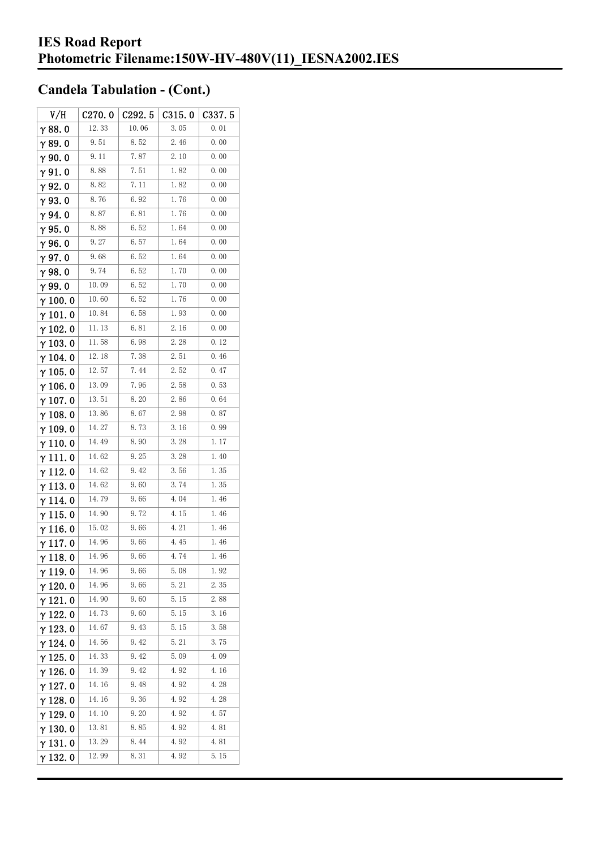| V/H             | C270.0 | C292.5 | C315.0 | C <sub>3</sub> 37.5 |
|-----------------|--------|--------|--------|---------------------|
| $\gamma$ 88. 0  | 12.33  | 10.06  | 3.05   | 0.01                |
| $\gamma$ 89.0   | 9.51   | 8.52   | 2.46   | 0.00                |
| γ90.0           | 9.11   | 7.87   | 2.10   | 0.00                |
| $\gamma$ 91. 0  | 8.88   | 7.51   | 1.82   | 0.00                |
| γ92.0           | 8.82   | 7. 11  | 1.82   | 0.00                |
| $\gamma$ 93. O  | 8.76   | 6.92   | 1.76   | 0.00                |
| $\gamma$ 94.0   | 8.87   | 6.81   | 1.76   | 0.00                |
| $\gamma$ 95.0   | 8.88   | 6.52   | 1.64   | 0.00                |
| γ96.0           | 9.27   | 6. 57  | 1.64   | 0.00                |
| $\gamma$ 97.0   | 9.68   | 6.52   | 1.64   | 0.00                |
| $\gamma$ 98.0   | 9.74   | 6.52   | 1.70   | 0.00                |
| γ99.0           | 10.09  | 6.52   | 1.70   | 0.00                |
| $\gamma$ 100. 0 | 10.60  | 6.52   | 1.76   | 0.00                |
| $\gamma$ 101.0  | 10.84  | 6.58   | 1.93   | 0.00                |
| $\gamma$ 102.0  | 11.13  | 6.81   | 2.16   | 0.00                |
| $\gamma$ 103. 0 | 11.58  | 6.98   | 2.28   | 0.12                |
| $\gamma$ 104.0  | 12.18  | 7.38   | 2.51   | 0.46                |
| $\gamma$ 105. 0 | 12.57  | 7.44   | 2.52   | 0.47                |
| γ106.0          | 13.09  | 7.96   | 2.58   | 0.53                |
| $\gamma$ 107. 0 | 13.51  | 8. 20  | 2.86   | 0.64                |
| $\gamma$ 108. 0 | 13.86  | 8.67   | 2.98   | 0.87                |
| $\gamma$ 109.0  | 14.27  | 8.73   | 3.16   | 0.99                |
| $\gamma$ 110. 0 | 14.49  | 8.90   | 3.28   | 1.17                |
| γ111.0          | 14.62  | 9.25   | 3.28   | 1.40                |
| $\gamma$ 112. 0 | 14.62  | 9.42   | 3.56   | 1.35                |
| $\gamma$ 113. 0 | 14.62  | 9.60   | 3.74   | 1.35                |
| γ 114. 0        | 14.79  | 9.66   | 4.04   | 1.46                |
| γ115.0          | 14.90  | 9.72   | 4.15   | 1.46                |
| γ116.0          | 15.02  | 9.66   | 4.21   | 1.46                |
| γ117.0          | 14.96  | 9.66   | 4.45   | 1.46                |
| $\gamma$ 118. 0 | 14.96  | 9.66   | 4.74   | 1.46                |
| $\gamma$ 119.0  | 14.96  | 9.66   | 5.08   | 1.92                |
| $\gamma$ 120.0  | 14.96  | 9.66   | 5.21   | 2.35                |
| $\gamma$ 121.0  | 14. 90 | 9.60   | 5.15   | 2.88                |
| $\gamma$ 122.0  | 14.73  | 9.60   | 5.15   | 3.16                |
| $\gamma$ 123.0  | 14.67  | 9.43   | 5.15   | 3.58                |
| $\gamma$ 124.0  | 14.56  | 9.42   | 5.21   | 3.75                |
| $\gamma$ 125. 0 | 14.33  | 9.42   | 5.09   | 4.09                |
| γ 126. 0        | 14.39  | 9.42   | 4.92   | 4.16                |
| $\gamma$ 127. 0 | 14.16  | 9.48   | 4.92   | 4.28                |
| γ 128. 0        | 14.16  | 9.36   | 4.92   | 4.28                |
| γ 129. 0        | 14. 10 | 9.20   | 4.92   | 4.57                |
| $\gamma$ 130. 0 | 13.81  | 8.85   | 4.92   | 4.81                |
| γ131.0          | 13.29  | 8.44   | 4.92   | 4.81                |
| $\gamma$ 132. 0 | 12.99  | 8.31   | 4.92   | 5.15                |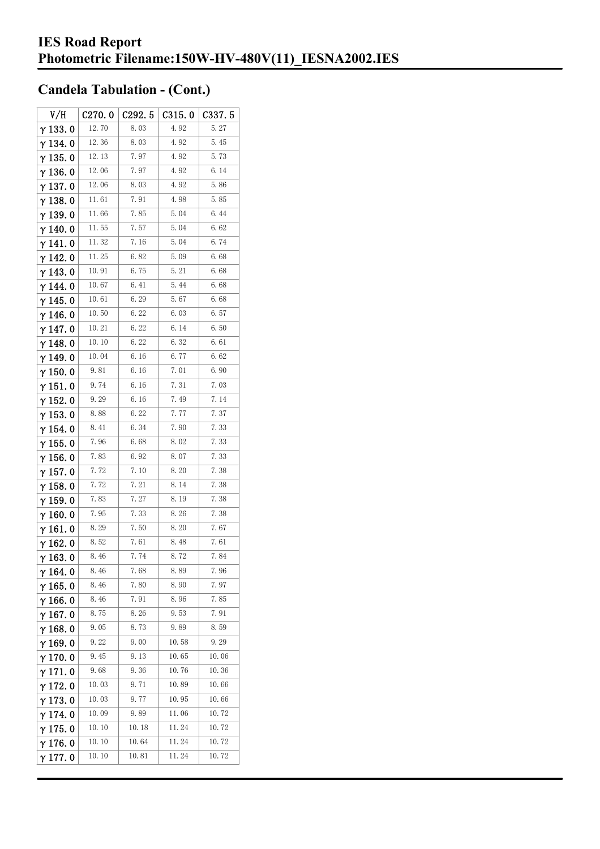| V/H             | C270.0 | C292.5 | C315.0 | C337.5 |
|-----------------|--------|--------|--------|--------|
| $\gamma$ 133.0  | 12.70  | 8.03   | 4.92   | 5.27   |
| γ134.0          | 12.36  | 8.03   | 4.92   | 5.45   |
| $\gamma$ 135. 0 | 12.13  | 7.97   | 4.92   | 5.73   |
| $\gamma$ 136.0  | 12.06  | 7.97   | 4.92   | 6.14   |
| $\gamma$ 137.0  | 12.06  | 8.03   | 4.92   | 5.86   |
| $\gamma$ 138.0  | 11.61  | 7.91   | 4.98   | 5.85   |
| $\gamma$ 139. 0 | 11.66  | 7.85   | 5.04   | 6.44   |
| $\gamma$ 140. 0 | 11.55  | 7.57   | 5.04   | 6.62   |
| γ141.0          | 11.32  | 7.16   | 5.04   | 6.74   |
| $\gamma$ 142. 0 | 11.25  | 6.82   | 5.09   | 6.68   |
| $\gamma$ 143.0  | 10.91  | 6.75   | 5. 21  | 6.68   |
| $\gamma$ 144. 0 | 10.67  | 6.41   | 5.44   | 6.68   |
| γ145.0          | 10.61  | 6.29   | 5.67   | 6.68   |
| γ146.0          | 10.50  | 6.22   | 6.03   | 6.57   |
| γ147.0          | 10.21  | 6.22   | 6.14   | 6.50   |
| $\gamma$ 148.0  | 10.10  | 6.22   | 6.32   | 6.61   |
| $\gamma$ 149.0  | 10.04  | 6.16   | 6.77   | 6.62   |
| $\gamma$ 150. 0 | 9.81   | 6.16   | 7.01   | 6.90   |
| $\gamma$ 151.0  | 9.74   | 6.16   | 7.31   | 7.03   |
| $\gamma$ 152.0  | 9.29   | 6.16   | 7.49   | 7.14   |
| $\gamma$ 153. 0 | 8.88   | 6.22   | 7.77   | 7.37   |
| $\gamma$ 154. 0 | 8.41   | 6.34   | 7.90   | 7.33   |
| $\gamma$ 155. 0 | 7.96   | 6.68   | 8.02   | 7.33   |
| $\gamma$ 156. 0 | 7.83   | 6.92   | 8.07   | 7.33   |
| $\gamma$ 157. 0 | 7.72   | 7.10   | 8.20   | 7.38   |
| $\gamma$ 158. 0 | 7.72   | 7.21   | 8.14   | 7.38   |
| $\gamma$ 159.0  | 7.83   | 7.27   | 8.19   | 7.38   |
| $\gamma$ 160. 0 | 7.95   | 7.33   | 8.26   | 7.38   |
| γ161.0          | 8.29   | 7.50   | 8.20   | 7.67   |
| $\gamma$ 162.0  | 8.52   | 7.61   | 8.48   | 7.61   |
| $\gamma$ 163.0  | 8.46   | 7.74   | 8.72   | 7.84   |
| γ164.0          | 8.46   | 7.68   | 8.89   | 7.96   |
| $\gamma$ 165.0  | 8.46   | 7.80   | 8.90   | 7.97   |
| $\gamma$ 166.0  | 8.46   | 7.91   | 8.96   | 7.85   |
| $\gamma$ 167.0  | 8.75   | 8.26   | 9.53   | 7.91   |
| $\gamma$ 168. 0 | 9.05   | 8.73   | 9.89   | 8.59   |
| $\gamma$ 169.0  | 9.22   | 9.00   | 10.58  | 9.29   |
| $\gamma$ 170.0  | 9.45   | 9.13   | 10.65  | 10.06  |
| $\gamma$ 171.0  | 9.68   | 9.36   | 10.76  | 10.36  |
| $\gamma$ 172.0  | 10.03  | 9.71   | 10.89  | 10.66  |
| $\gamma$ 173.0  | 10.03  | 9.77   | 10.95  | 10.66  |
| $\gamma$ 174.0  | 10.09  | 9.89   | 11.06  | 10.72  |
| $\gamma$ 175. 0 | 10.10  | 10.18  | 11.24  | 10.72  |
| $\gamma$ 176.0  | 10.10  | 10.64  | 11.24  | 10.72  |
| γ177.0          | 10.10  | 10.81  | 11.24  | 10.72  |